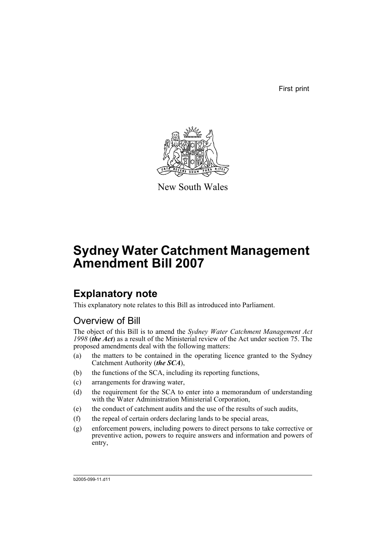First print



New South Wales

# **Sydney Water Catchment Management Amendment Bill 2007**

# **Explanatory note**

This explanatory note relates to this Bill as introduced into Parliament.

# Overview of Bill

The object of this Bill is to amend the *Sydney Water Catchment Management Act 1998* (*the Act*) as a result of the Ministerial review of the Act under section 75. The proposed amendments deal with the following matters:

- (a) the matters to be contained in the operating licence granted to the Sydney Catchment Authority (*the SCA*),
- (b) the functions of the SCA, including its reporting functions,
- (c) arrangements for drawing water,
- (d) the requirement for the SCA to enter into a memorandum of understanding with the Water Administration Ministerial Corporation,
- (e) the conduct of catchment audits and the use of the results of such audits,
- (f) the repeal of certain orders declaring lands to be special areas,
- (g) enforcement powers, including powers to direct persons to take corrective or preventive action, powers to require answers and information and powers of entry,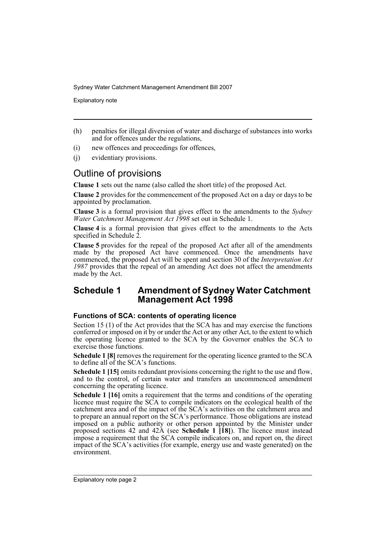Explanatory note

- (h) penalties for illegal diversion of water and discharge of substances into works and for offences under the regulations,
- (i) new offences and proceedings for offences,
- (j) evidentiary provisions.

# Outline of provisions

**Clause 1** sets out the name (also called the short title) of the proposed Act.

**Clause 2** provides for the commencement of the proposed Act on a day or days to be appointed by proclamation.

**Clause 3** is a formal provision that gives effect to the amendments to the *Sydney Water Catchment Management Act 1998* set out in Schedule 1.

**Clause 4** is a formal provision that gives effect to the amendments to the Acts specified in Schedule 2.

**Clause 5** provides for the repeal of the proposed Act after all of the amendments made by the proposed Act have commenced. Once the amendments have commenced, the proposed Act will be spent and section 30 of the *Interpretation Act 1987* provides that the repeal of an amending Act does not affect the amendments made by the Act.

# **Schedule 1 Amendment of Sydney Water Catchment Management Act 1998**

## **Functions of SCA: contents of operating licence**

Section 15 (1) of the Act provides that the SCA has and may exercise the functions conferred or imposed on it by or under the Act or any other Act, to the extent to which the operating licence granted to the SCA by the Governor enables the SCA to exercise those functions.

**Schedule 1 [8]** removes the requirement for the operating licence granted to the SCA to define all of the SCA's functions.

**Schedule 1 [15]** omits redundant provisions concerning the right to the use and flow, and to the control, of certain water and transfers an uncommenced amendment concerning the operating licence.

**Schedule 1 [16]** omits a requirement that the terms and conditions of the operating licence must require the SCA to compile indicators on the ecological health of the catchment area and of the impact of the SCA's activities on the catchment area and to prepare an annual report on the SCA's performance. Those obligations are instead imposed on a public authority or other person appointed by the Minister under proposed sections 42 and 42A (see **Schedule 1 [18]**). The licence must instead impose a requirement that the SCA compile indicators on, and report on, the direct impact of the SCA's activities (for example, energy use and waste generated) on the environment.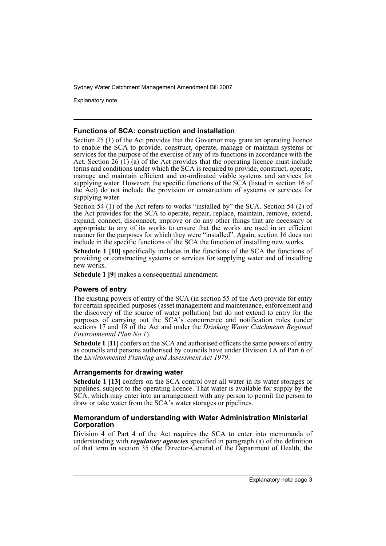Explanatory note

### **Functions of SCA: construction and installation**

Section 25 (1) of the Act provides that the Governor may grant an operating licence to enable the SCA to provide, construct, operate, manage or maintain systems or services for the purpose of the exercise of any of its functions in accordance with the Act. Section 26 (1) (a) of the Act provides that the operating licence must include terms and conditions under which the SCA is required to provide, construct, operate, manage and maintain efficient and co-ordinated viable systems and services for supplying water. However, the specific functions of the SCA (listed in section 16 of the Act) do not include the provision or construction of systems or services for supplying water.

Section 54 (1) of the Act refers to works "installed by" the SCA. Section 54 (2) of the Act provides for the SCA to operate, repair, replace, maintain, remove, extend, expand, connect, disconnect, improve or do any other things that are necessary or appropriate to any of its works to ensure that the works are used in an efficient manner for the purposes for which they were "installed". Again, section 16 does not include in the specific functions of the SCA the function of installing new works.

**Schedule 1 [10]** specifically includes in the functions of the SCA the functions of providing or constructing systems or services for supplying water and of installing new works.

**Schedule 1 [9]** makes a consequential amendment.

# **Powers of entry**

The existing powers of entry of the SCA (in section 55 of the Act) provide for entry for certain specified purposes (asset management and maintenance, enforcement and the discovery of the source of water pollution) but do not extend to entry for the purposes of carrying out the SCA's concurrence and notification roles (under sections 17 and 18 of the Act and under the *Drinking Water Catchments Regional Environmental Plan No 1*).

**Schedule 1 [11]** confers on the SCA and authorised officers the same powers of entry as councils and persons authorised by councils have under Division 1A of Part 6 of the *Environmental Planning and Assessment Act 1979*.

## **Arrangements for drawing water**

**Schedule 1 [13]** confers on the SCA control over all water in its water storages or pipelines, subject to the operating licence. That water is available for supply by the SCA, which may enter into an arrangement with any person to permit the person to draw or take water from the SCA's water storages or pipelines.

## **Memorandum of understanding with Water Administration Ministerial Corporation**

Division 4 of Part 4 of the Act requires the SCA to enter into memoranda of understanding with *regulatory agencies* specified in paragraph (a) of the definition of that term in section 35 (the Director-General of the Department of Health, the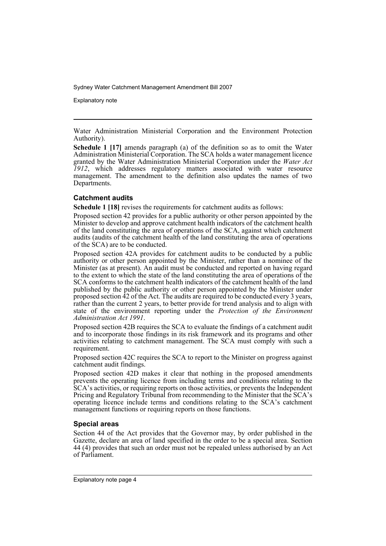Explanatory note

Water Administration Ministerial Corporation and the Environment Protection Authority).

**Schedule 1 [17]** amends paragraph (a) of the definition so as to omit the Water Administration Ministerial Corporation. The SCA holds a water management licence granted by the Water Administration Ministerial Corporation under the *Water Act 1912*, which addresses regulatory matters associated with water resource management. The amendment to the definition also updates the names of two Departments.

# **Catchment audits**

**Schedule 1 [18]** revises the requirements for catchment audits as follows:

Proposed section 42 provides for a public authority or other person appointed by the Minister to develop and approve catchment health indicators of the catchment health of the land constituting the area of operations of the SCA, against which catchment audits (audits of the catchment health of the land constituting the area of operations of the SCA) are to be conducted.

Proposed section 42A provides for catchment audits to be conducted by a public authority or other person appointed by the Minister, rather than a nominee of the Minister (as at present). An audit must be conducted and reported on having regard to the extent to which the state of the land constituting the area of operations of the SCA conforms to the catchment health indicators of the catchment health of the land published by the public authority or other person appointed by the Minister under proposed section 42 of the Act. The audits are required to be conducted every 3 years, rather than the current 2 years, to better provide for trend analysis and to align with state of the environment reporting under the *Protection of the Environment Administration Act 1991*.

Proposed section 42B requires the SCA to evaluate the findings of a catchment audit and to incorporate those findings in its risk framework and its programs and other activities relating to catchment management. The SCA must comply with such a requirement.

Proposed section 42C requires the SCA to report to the Minister on progress against catchment audit findings.

Proposed section 42D makes it clear that nothing in the proposed amendments prevents the operating licence from including terms and conditions relating to the SCA's activities, or requiring reports on those activities, or prevents the Independent Pricing and Regulatory Tribunal from recommending to the Minister that the SCA's operating licence include terms and conditions relating to the SCA's catchment management functions or requiring reports on those functions.

## **Special areas**

Section 44 of the Act provides that the Governor may, by order published in the Gazette, declare an area of land specified in the order to be a special area. Section 44 (4) provides that such an order must not be repealed unless authorised by an Act of Parliament.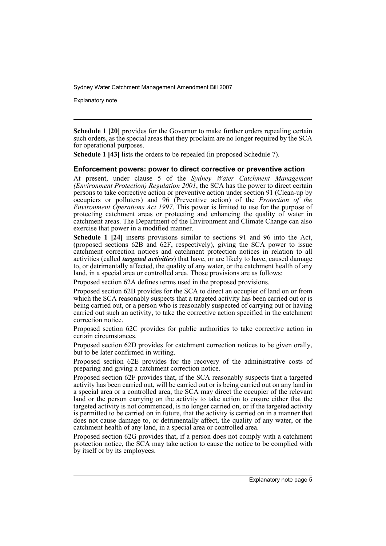Explanatory note

**Schedule 1 [20]** provides for the Governor to make further orders repealing certain such orders, as the special areas that they proclaim are no longer required by the SCA for operational purposes.

**Schedule 1 [43]** lists the orders to be repealed (in proposed Schedule 7).

### **Enforcement powers: power to direct corrective or preventive action**

At present, under clause 5 of the *Sydney Water Catchment Management (Environment Protection) Regulation 2001*, the SCA has the power to direct certain persons to take corrective action or preventive action under section 91 (Clean-up by occupiers or polluters) and 96 (Preventive action) of the *Protection of the Environment Operations Act 1997*. This power is limited to use for the purpose of protecting catchment areas or protecting and enhancing the quality of water in catchment areas. The Department of the Environment and Climate Change can also exercise that power in a modified manner.

**Schedule 1 [24]** inserts provisions similar to sections 91 and 96 into the Act, (proposed sections 62B and 62F, respectively), giving the SCA power to issue catchment correction notices and catchment protection notices in relation to all activities (called *targeted activities*) that have, or are likely to have, caused damage to, or detrimentally affected, the quality of any water, or the catchment health of any land, in a special area or controlled area. Those provisions are as follows:

Proposed section 62A defines terms used in the proposed provisions.

Proposed section 62B provides for the SCA to direct an occupier of land on or from which the SCA reasonably suspects that a targeted activity has been carried out or is being carried out, or a person who is reasonably suspected of carrying out or having carried out such an activity, to take the corrective action specified in the catchment correction notice.

Proposed section 62C provides for public authorities to take corrective action in certain circumstances.

Proposed section 62D provides for catchment correction notices to be given orally, but to be later confirmed in writing.

Proposed section 62E provides for the recovery of the administrative costs of preparing and giving a catchment correction notice.

Proposed section 62F provides that, if the SCA reasonably suspects that a targeted activity has been carried out, will be carried out or is being carried out on any land in a special area or a controlled area, the SCA may direct the occupier of the relevant land or the person carrying on the activity to take action to ensure either that the targeted activity is not commenced, is no longer carried on, or if the targeted activity is permitted to be carried on in future, that the activity is carried on in a manner that does not cause damage to, or detrimentally affect, the quality of any water, or the catchment health of any land, in a special area or controlled area.

Proposed section 62G provides that, if a person does not comply with a catchment protection notice, the SCA may take action to cause the notice to be complied with by itself or by its employees.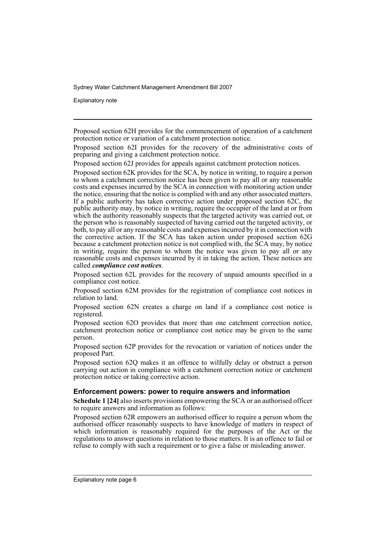Explanatory note

Proposed section 62H provides for the commencement of operation of a catchment protection notice or variation of a catchment protection notice.

Proposed section 62I provides for the recovery of the administrative costs of preparing and giving a catchment protection notice.

Proposed section 62J provides for appeals against catchment protection notices.

Proposed section 62K provides for the SCA, by notice in writing, to require a person to whom a catchment correction notice has been given to pay all or any reasonable costs and expenses incurred by the SCA in connection with monitoring action under the notice, ensuring that the notice is complied with and any other associated matters. If a public authority has taken corrective action under proposed section 62C, the public authority may, by notice in writing, require the occupier of the land at or from which the authority reasonably suspects that the targeted activity was carried out, or the person who is reasonably suspected of having carried out the targeted activity, or both, to pay all or any reasonable costs and expenses incurred by it in connection with the corrective action. If the SCA has taken action under proposed section 62G because a catchment protection notice is not complied with, the SCA may, by notice in writing, require the person to whom the notice was given to pay all or any reasonable costs and expenses incurred by it in taking the action. These notices are called *compliance cost notices*.

Proposed section 62L provides for the recovery of unpaid amounts specified in a compliance cost notice.

Proposed section 62M provides for the registration of compliance cost notices in relation to land.

Proposed section 62N creates a charge on land if a compliance cost notice is registered.

Proposed section 62O provides that more than one catchment correction notice, catchment protection notice or compliance cost notice may be given to the same person.

Proposed section 62P provides for the revocation or variation of notices under the proposed Part.

Proposed section 62Q makes it an offence to wilfully delay or obstruct a person carrying out action in compliance with a catchment correction notice or catchment protection notice or taking corrective action.

## **Enforcement powers: power to require answers and information**

**Schedule 1 [24]** also inserts provisions empowering the SCA or an authorised officer to require answers and information as follows:

Proposed section 62R empowers an authorised officer to require a person whom the authorised officer reasonably suspects to have knowledge of matters in respect of which information is reasonably required for the purposes of the Act or the regulations to answer questions in relation to those matters. It is an offence to fail or refuse to comply with such a requirement or to give a false or misleading answer.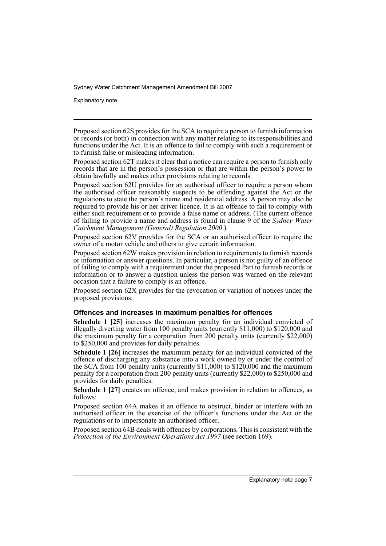Explanatory note

Proposed section 62S provides for the SCA to require a person to furnish information or records (or both) in connection with any matter relating to its responsibilities and functions under the Act. It is an offence to fail to comply with such a requirement or to furnish false or misleading information.

Proposed section 62T makes it clear that a notice can require a person to furnish only records that are in the person's possession or that are within the person's power to obtain lawfully and makes other provisions relating to records.

Proposed section 62U provides for an authorised officer to require a person whom the authorised officer reasonably suspects to be offending against the Act or the regulations to state the person's name and residential address. A person may also be required to provide his or her driver licence. It is an offence to fail to comply with either such requirement or to provide a false name or address. (The current offence of failing to provide a name and address is found in clause 9 of the *Sydney Water Catchment Management (General) Regulation 2000*.)

Proposed section 62V provides for the SCA or an authorised officer to require the owner of a motor vehicle and others to give certain information.

Proposed section 62W makes provision in relation to requirements to furnish records or information or answer questions. In particular, a person is not guilty of an offence of failing to comply with a requirement under the proposed Part to furnish records or information or to answer a question unless the person was warned on the relevant occasion that a failure to comply is an offence.

Proposed section 62X provides for the revocation or variation of notices under the proposed provisions.

## **Offences and increases in maximum penalties for offences**

**Schedule 1 [25]** increases the maximum penalty for an individual convicted of illegally diverting water from 100 penalty units (currently \$11,000) to \$120,000 and the maximum penalty for a corporation from 200 penalty units (currently \$22,000) to \$250,000 and provides for daily penalties.

**Schedule 1 [26]** increases the maximum penalty for an individual convicted of the offence of discharging any substance into a work owned by or under the control of the SCA from 100 penalty units (currently \$11,000) to \$120,000 and the maximum penalty for a corporation from 200 penalty units (currently \$22,000) to \$250,000 and provides for daily penalties.

**Schedule 1 [27]** creates an offence, and makes provision in relation to offences, as follows:

Proposed section 64A makes it an offence to obstruct, hinder or interfere with an authorised officer in the exercise of the officer's functions under the Act or the regulations or to impersonate an authorised officer.

Proposed section 64B deals with offences by corporations. This is consistent with the *Protection of the Environment Operations Act 1997* (see section 169).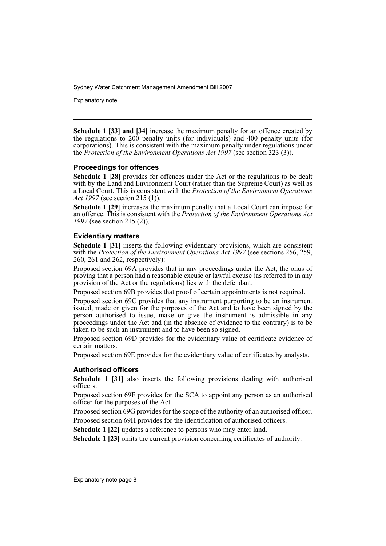Explanatory note

**Schedule 1 [33] and [34]** increase the maximum penalty for an offence created by the regulations to 200 penalty units (for individuals) and 400 penalty units (for corporations). This is consistent with the maximum penalty under regulations under the *Protection of the Environment Operations Act 1997* (see section 323 (3)).

# **Proceedings for offences**

**Schedule 1 [28]** provides for offences under the Act or the regulations to be dealt with by the Land and Environment Court (rather than the Supreme Court) as well as a Local Court. This is consistent with the *Protection of the Environment Operations Act 1997* (see section 215 (1)).

**Schedule 1 [29]** increases the maximum penalty that a Local Court can impose for an offence. This is consistent with the *Protection of the Environment Operations Act 1997* (see section 215 (2)).

# **Evidentiary matters**

**Schedule 1 [31]** inserts the following evidentiary provisions, which are consistent with the *Protection of the Environment Operations Act 1997* (see sections 256, 259, 260, 261 and 262, respectively):

Proposed section 69A provides that in any proceedings under the Act, the onus of proving that a person had a reasonable excuse or lawful excuse (as referred to in any provision of the Act or the regulations) lies with the defendant.

Proposed section 69B provides that proof of certain appointments is not required.

Proposed section 69C provides that any instrument purporting to be an instrument issued, made or given for the purposes of the Act and to have been signed by the person authorised to issue, make or give the instrument is admissible in any proceedings under the Act and (in the absence of evidence to the contrary) is to be taken to be such an instrument and to have been so signed.

Proposed section 69D provides for the evidentiary value of certificate evidence of certain matters.

Proposed section 69E provides for the evidentiary value of certificates by analysts.

# **Authorised officers**

**Schedule 1 [31]** also inserts the following provisions dealing with authorised officers:

Proposed section 69F provides for the SCA to appoint any person as an authorised officer for the purposes of the Act.

Proposed section 69G provides for the scope of the authority of an authorised officer. Proposed section 69H provides for the identification of authorised officers.

**Schedule 1 [22]** updates a reference to persons who may enter land.

**Schedule 1 [23]** omits the current provision concerning certificates of authority.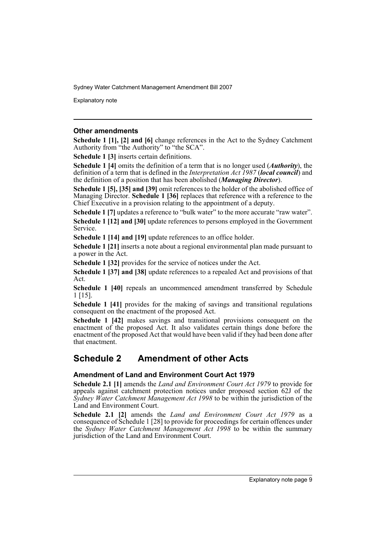Explanatory note

### **Other amendments**

**Schedule 1 [1], [2] and [6]** change references in the Act to the Sydney Catchment Authority from "the Authority" to "the SCA".

**Schedule 1 [3]** inserts certain definitions.

**Schedule 1 [4]** omits the definition of a term that is no longer used (*Authority*), the definition of a term that is defined in the *Interpretation Act 1987* (*local council*) and the definition of a position that has been abolished (*Managing Director*).

**Schedule 1 [5], [35] and [39]** omit references to the holder of the abolished office of Managing Director. **Schedule 1 [36]** replaces that reference with a reference to the Chief Executive in a provision relating to the appointment of a deputy.

**Schedule 1 [7]** updates a reference to "bulk water" to the more accurate "raw water". **Schedule 1 [12] and [30]** update references to persons employed in the Government Service.

**Schedule 1 [14] and [19]** update references to an office holder.

**Schedule 1 [21]** inserts a note about a regional environmental plan made pursuant to a power in the Act.

**Schedule 1 [32]** provides for the service of notices under the Act.

**Schedule 1 [37] and [38]** update references to a repealed Act and provisions of that Act.

**Schedule 1 [40]** repeals an uncommenced amendment transferred by Schedule 1 [15].

**Schedule 1 [41]** provides for the making of savings and transitional regulations consequent on the enactment of the proposed Act.

**Schedule 1 [42]** makes savings and transitional provisions consequent on the enactment of the proposed Act. It also validates certain things done before the enactment of the proposed Act that would have been valid if they had been done after that enactment.

# **Schedule 2 Amendment of other Acts**

# **Amendment of Land and Environment Court Act 1979**

**Schedule 2.1 [1]** amends the *Land and Environment Court Act 1979* to provide for appeals against catchment protection notices under proposed section 62J of the *Sydney Water Catchment Management Act 1998* to be within the jurisdiction of the Land and Environment Court.

**Schedule 2.1 [2]** amends the *Land and Environment Court Act 1979* as a consequence of Schedule 1 [28] to provide for proceedings for certain offences under the *Sydney Water Catchment Management Act 1998* to be within the summary jurisdiction of the Land and Environment Court.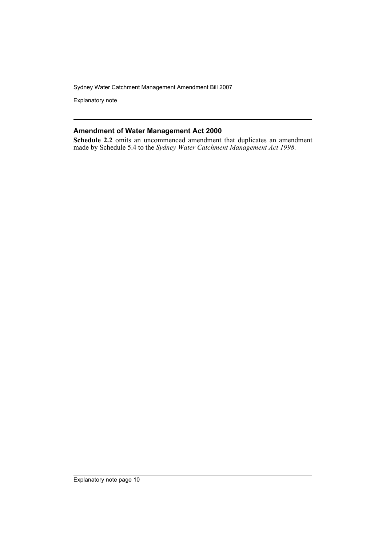Explanatory note

# **Amendment of Water Management Act 2000**

**Schedule 2.2** omits an uncommenced amendment that duplicates an amendment made by Schedule 5.4 to the *Sydney Water Catchment Management Act 1998*.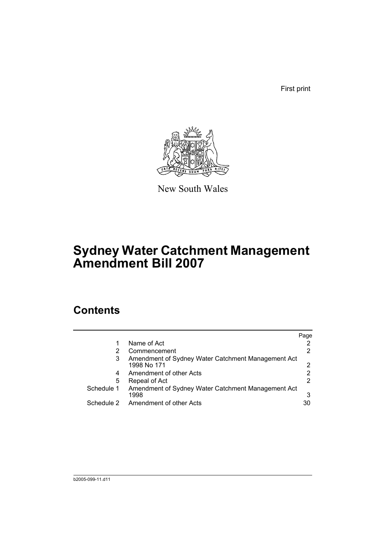First print



New South Wales

# **Sydney Water Catchment Management Amendment Bill 2007**

# **Contents**

|            |                                                                   | Page |
|------------|-------------------------------------------------------------------|------|
|            | Name of Act                                                       |      |
|            | Commencement                                                      |      |
| 3          | Amendment of Sydney Water Catchment Management Act<br>1998 No 171 |      |
| 4          | Amendment of other Acts                                           |      |
| 5          | Repeal of Act                                                     |      |
| Schedule 1 | Amendment of Sydney Water Catchment Management Act<br>1998        | 3    |
| Schedule 2 | Amendment of other Acts                                           | 30   |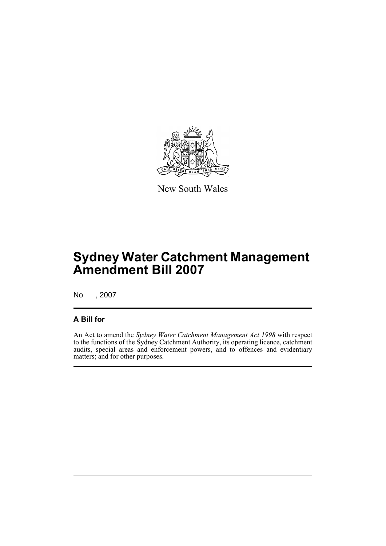

New South Wales

# **Sydney Water Catchment Management Amendment Bill 2007**

No , 2007

# **A Bill for**

An Act to amend the *Sydney Water Catchment Management Act 1998* with respect to the functions of the Sydney Catchment Authority, its operating licence, catchment audits, special areas and enforcement powers, and to offences and evidentiary matters; and for other purposes.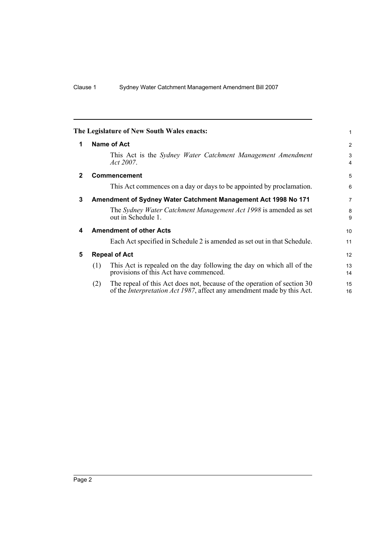<span id="page-13-4"></span><span id="page-13-3"></span><span id="page-13-2"></span><span id="page-13-1"></span><span id="page-13-0"></span>

|              | The Legislature of New South Wales enacts:                                                                                                                       | 1              |
|--------------|------------------------------------------------------------------------------------------------------------------------------------------------------------------|----------------|
| 1            | <b>Name of Act</b>                                                                                                                                               | $\overline{2}$ |
|              | This Act is the <i>Sydney Water Catchment Management Amendment</i><br><i>Act 2007.</i>                                                                           | 3<br>4         |
| $\mathbf{2}$ | <b>Commencement</b>                                                                                                                                              | 5              |
|              | This Act commences on a day or days to be appointed by proclamation.                                                                                             | 6              |
| 3            | Amendment of Sydney Water Catchment Management Act 1998 No 171                                                                                                   | $\overline{7}$ |
|              | The Sydney Water Catchment Management Act 1998 is amended as set<br>out in Schedule 1.                                                                           | 8<br>9         |
| 4            | <b>Amendment of other Acts</b>                                                                                                                                   | 10             |
|              | Each Act specified in Schedule 2 is amended as set out in that Schedule.                                                                                         | 11             |
| 5            | <b>Repeal of Act</b>                                                                                                                                             | 12             |
|              | This Act is repealed on the day following the day on which all of the<br>(1)<br>provisions of this Act have commenced.                                           | 13<br>14       |
|              | The repeal of this Act does not, because of the operation of section 30<br>(2)<br>of the <i>Interpretation Act 1987</i> , affect any amendment made by this Act. | 15<br>16       |
|              |                                                                                                                                                                  |                |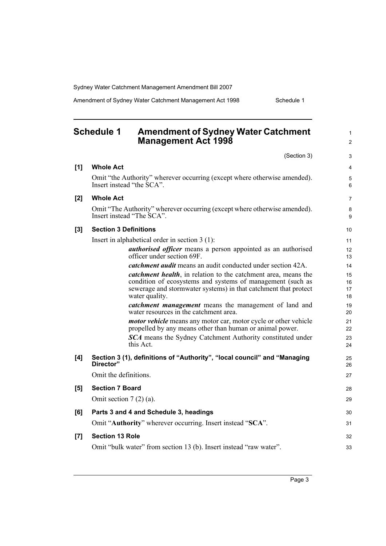Amendment of Sydney Water Catchment Management Act 1998 Schedule 1

<span id="page-14-0"></span>

|       | <b>Schedule 1</b><br><b>Amendment of Sydney Water Catchment</b><br><b>Management Act 1998</b>                                      | 1<br>$\overline{c}$ |
|-------|------------------------------------------------------------------------------------------------------------------------------------|---------------------|
|       | (Section 3)                                                                                                                        | 3                   |
| [1]   | <b>Whole Act</b>                                                                                                                   | 4                   |
|       | Omit "the Authority" wherever occurring (except where otherwise amended).<br>Insert instead "the SCA".                             | 5<br>6              |
| [2]   | <b>Whole Act</b>                                                                                                                   | 7                   |
|       | Omit "The Authority" wherever occurring (except where otherwise amended).<br>Insert instead "The SCA".                             | 8<br>9              |
| [3]   | <b>Section 3 Definitions</b>                                                                                                       | 10                  |
|       | Insert in alphabetical order in section $3(1)$ :                                                                                   | 11                  |
|       | <i>authorised officer</i> means a person appointed as an authorised<br>officer under section 69F.                                  | 12<br>13            |
|       | <i>catchment audit</i> means an audit conducted under section 42A.                                                                 | 14                  |
|       | <i>catchment health</i> , in relation to the catchment area, means the                                                             | 15                  |
|       | condition of ecosystems and systems of management (such as<br>sewerage and stormwater systems) in that catchment that protect      | 16<br>17            |
|       | water quality.                                                                                                                     | 18                  |
|       | <i>catchment management</i> means the management of land and<br>water resources in the catchment area.                             | 19<br>20            |
|       | <i>motor vehicle</i> means any motor car, motor cycle or other vehicle<br>propelled by any means other than human or animal power. | 21<br>22            |
|       | <b>SCA</b> means the Sydney Catchment Authority constituted under<br>this Act.                                                     | 23<br>24            |
| [4]   | Section 3 (1), definitions of "Authority", "local council" and "Managing<br>Director"                                              | 25<br>26            |
|       | Omit the definitions.                                                                                                              | 27                  |
| [5]   | <b>Section 7 Board</b>                                                                                                             | 28                  |
|       | Omit section $7(2)(a)$ .                                                                                                           | 29                  |
| [6]   | Parts 3 and 4 and Schedule 3, headings                                                                                             | 30                  |
|       | Omit "Authority" wherever occurring. Insert instead "SCA".                                                                         | 31                  |
| $[7]$ | <b>Section 13 Role</b>                                                                                                             | 32                  |
|       | Omit "bulk water" from section 13 (b). Insert instead "raw water".                                                                 | 33                  |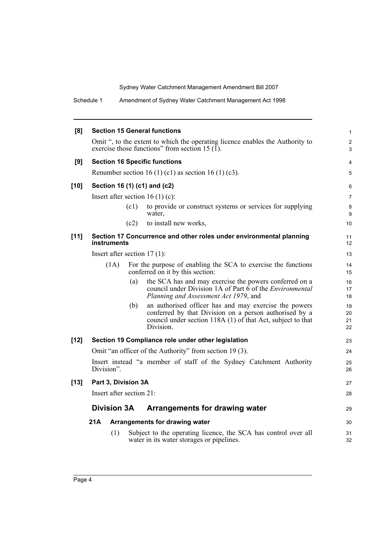Schedule 1 Amendment of Sydney Water Catchment Management Act 1998

| [8]    |                                |      | <b>Section 15 General functions</b>                                                                                                                                                         | $\mathbf{1}$         |
|--------|--------------------------------|------|---------------------------------------------------------------------------------------------------------------------------------------------------------------------------------------------|----------------------|
|        |                                |      | Omit ", to the extent to which the operating licence enables the Authority to<br>exercise those functions" from section 15 $(1)$ .                                                          | $\overline{2}$<br>3  |
| [9]    |                                |      | <b>Section 16 Specific functions</b>                                                                                                                                                        | $\overline{4}$       |
|        |                                |      | Renumber section 16 (1) (c1) as section 16 (1) (c3).                                                                                                                                        | 5                    |
| $[10]$ |                                |      | Section 16 (1) (c1) and (c2)                                                                                                                                                                | 6                    |
|        |                                |      | Insert after section 16 (1) (c):                                                                                                                                                            | $\overline{7}$       |
|        |                                | (c1) | to provide or construct systems or services for supplying<br>water.                                                                                                                         | 8<br>9               |
|        |                                | (c2) | to install new works,                                                                                                                                                                       | 10                   |
| $[11]$ | instruments                    |      | Section 17 Concurrence and other roles under environmental planning                                                                                                                         | 11<br>12             |
|        | Insert after section $17(1)$ : |      |                                                                                                                                                                                             | 13                   |
|        | (1A)                           |      | For the purpose of enabling the SCA to exercise the functions<br>conferred on it by this section:                                                                                           | 14<br>15             |
|        |                                | (a)  | the SCA has and may exercise the powers conferred on a<br>council under Division 1A of Part $\hat{6}$ of the <i>Environmental</i><br>Planning and Assessment Act 1979, and                  | 16<br>17<br>18       |
|        |                                | (b)  | an authorised officer has and may exercise the powers<br>conferred by that Division on a person authorised by a<br>council under section 118A (1) of that Act, subject to that<br>Division. | 19<br>20<br>21<br>22 |
| $[12]$ |                                |      | Section 19 Compliance role under other legislation                                                                                                                                          | 23                   |
|        |                                |      | Omit "an officer of the Authority" from section 19(3).                                                                                                                                      | 24                   |
|        | Division".                     |      | Insert instead "a member of staff of the Sydney Catchment Authority                                                                                                                         | 25<br>26             |
| $[13]$ | Part 3, Division 3A            |      |                                                                                                                                                                                             | 27                   |
|        | Insert after section 21:       |      |                                                                                                                                                                                             | 28                   |
|        | <b>Division 3A</b>             |      | Arrangements for drawing water                                                                                                                                                              | 29                   |
|        | 21A                            |      | Arrangements for drawing water                                                                                                                                                              | 30                   |
|        | (1)                            |      | Subject to the operating licence, the SCA has control over all<br>water in its water storages or pipelines.                                                                                 | 31<br>32             |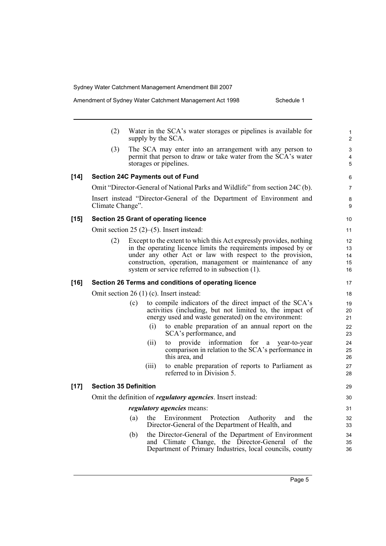|        | (2)                          |     | Water in the SCA's water storages or pipelines is available for<br>supply by the SCA.                                                                                                                                                                                                                              |  |
|--------|------------------------------|-----|--------------------------------------------------------------------------------------------------------------------------------------------------------------------------------------------------------------------------------------------------------------------------------------------------------------------|--|
|        | (3)                          |     | The SCA may enter into an arrangement with any person to<br>permit that person to draw or take water from the SCA's water<br>storages or pipelines.                                                                                                                                                                |  |
| $[14]$ |                              |     | <b>Section 24C Payments out of Fund</b>                                                                                                                                                                                                                                                                            |  |
|        |                              |     | Omit "Director-General of National Parks and Wildlife" from section 24C (b).                                                                                                                                                                                                                                       |  |
|        | Climate Change".             |     | Insert instead "Director-General of the Department of Environment and                                                                                                                                                                                                                                              |  |
| $[15]$ |                              |     | <b>Section 25 Grant of operating licence</b>                                                                                                                                                                                                                                                                       |  |
|        |                              |     | Omit section $25(2)$ –(5). Insert instead:                                                                                                                                                                                                                                                                         |  |
|        | (2)                          |     | Except to the extent to which this Act expressly provides, nothing<br>in the operating licence limits the requirements imposed by or<br>under any other Act or law with respect to the provision,<br>construction, operation, management or maintenance of any<br>system or service referred to in subsection (1). |  |
| $[16]$ |                              |     | Section 26 Terms and conditions of operating licence                                                                                                                                                                                                                                                               |  |
|        |                              |     | Omit section $26(1)(c)$ . Insert instead:                                                                                                                                                                                                                                                                          |  |
|        |                              | (c) | to compile indicators of the direct impact of the SCA's<br>activities (including, but not limited to, the impact of<br>energy used and waste generated) on the environment:                                                                                                                                        |  |
|        |                              |     | (i)<br>to enable preparation of an annual report on the<br>SCA's performance, and                                                                                                                                                                                                                                  |  |
|        |                              |     | provide information for a year-to-year<br>(11)<br>to<br>comparison in relation to the SCA's performance in<br>this area, and                                                                                                                                                                                       |  |
|        |                              |     | to enable preparation of reports to Parliament as<br>(111)<br>referred to in Division 5.                                                                                                                                                                                                                           |  |
| $[17]$ | <b>Section 35 Definition</b> |     |                                                                                                                                                                                                                                                                                                                    |  |
|        |                              |     | Omit the definition of regulatory agencies. Insert instead:                                                                                                                                                                                                                                                        |  |
|        |                              |     | <i>regulatory agencies</i> means:                                                                                                                                                                                                                                                                                  |  |
|        |                              | (a) | Environment<br>Protection<br>the<br>Authority<br>and<br>the<br>Director-General of the Department of Health, and                                                                                                                                                                                                   |  |
|        |                              | (b) | the Director-General of the Department of Environment<br>and Climate Change, the Director-General of the<br>Department of Primary Industries, local councils, county                                                                                                                                               |  |

Amendment of Sydney Water Catchment Management Act 1998 Schedule 1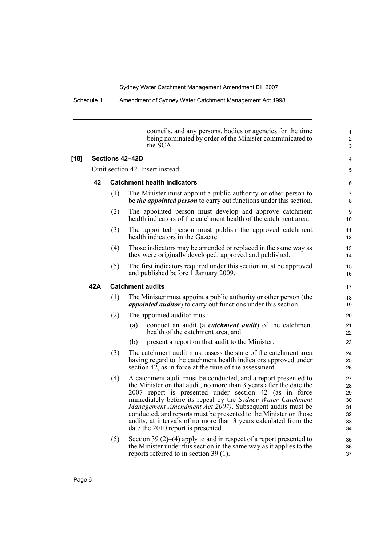|        |      |     | councils, and any persons, bodies or agencies for the time<br>being nominated by order of the Minister communicated to<br>the SCA.                                                                                                                                                                                                                                                                                                                                                                         | $\mathbf{1}$<br>$\overline{2}$<br>3          |
|--------|------|-----|------------------------------------------------------------------------------------------------------------------------------------------------------------------------------------------------------------------------------------------------------------------------------------------------------------------------------------------------------------------------------------------------------------------------------------------------------------------------------------------------------------|----------------------------------------------|
| $[18]$ |      |     | Sections 42-42D                                                                                                                                                                                                                                                                                                                                                                                                                                                                                            | 4                                            |
|        |      |     | Omit section 42. Insert instead:                                                                                                                                                                                                                                                                                                                                                                                                                                                                           | 5                                            |
|        | 42   |     | <b>Catchment health indicators</b>                                                                                                                                                                                                                                                                                                                                                                                                                                                                         | 6                                            |
|        |      | (1) | The Minister must appoint a public authority or other person to<br>be <i>the appointed person</i> to carry out functions under this section.                                                                                                                                                                                                                                                                                                                                                               | 7<br>8                                       |
|        |      | (2) | The appointed person must develop and approve catchment<br>health indicators of the catchment health of the catchment area.                                                                                                                                                                                                                                                                                                                                                                                | 9<br>10                                      |
|        |      | (3) | The appointed person must publish the approved catchment<br>health indicators in the Gazette.                                                                                                                                                                                                                                                                                                                                                                                                              | 11<br>12                                     |
|        |      | (4) | Those indicators may be amended or replaced in the same way as<br>they were originally developed, approved and published.                                                                                                                                                                                                                                                                                                                                                                                  | 13<br>14                                     |
|        |      | (5) | The first indicators required under this section must be approved<br>and published before I January 2009.                                                                                                                                                                                                                                                                                                                                                                                                  | 15<br>16                                     |
|        | 42 A |     | <b>Catchment audits</b>                                                                                                                                                                                                                                                                                                                                                                                                                                                                                    | 17                                           |
|        |      | (1) | The Minister must appoint a public authority or other person (the<br><i>appointed auditor</i> ) to carry out functions under this section.                                                                                                                                                                                                                                                                                                                                                                 | 18<br>19                                     |
|        |      | (2) | The appointed auditor must:                                                                                                                                                                                                                                                                                                                                                                                                                                                                                | 20                                           |
|        |      |     | conduct an audit (a <i>catchment audit</i> ) of the catchment<br>(a)<br>health of the catchment area, and                                                                                                                                                                                                                                                                                                                                                                                                  | 21<br>22                                     |
|        |      |     | present a report on that audit to the Minister.<br>(b)                                                                                                                                                                                                                                                                                                                                                                                                                                                     | 23                                           |
|        |      | (3) | The catchment audit must assess the state of the catchment area<br>having regard to the catchment health indicators approved under<br>section 42, as in force at the time of the assessment.                                                                                                                                                                                                                                                                                                               | 24<br>25<br>26                               |
|        |      | (4) | A catchment audit must be conducted, and a report presented to<br>the Minister on that audit, no more than 3 years after the date the<br>2007 report is presented under section 42 (as in force<br>immediately before its repeal by the Sydney Water Catchment<br>Management Amendment Act 2007). Subsequent audits must be<br>conducted, and reports must be presented to the Minister on those<br>audits, at intervals of no more than 3 years calculated from the<br>date the 2010 report is presented. | 27<br>28<br>29<br>30<br>31<br>32<br>33<br>34 |
|        |      | (5) | Section 39 $(2)$ – $(4)$ apply to and in respect of a report presented to<br>the Minister under this section in the same way as it applies to the<br>reports referred to in section 39 (1).                                                                                                                                                                                                                                                                                                                | 35<br>36<br>37                               |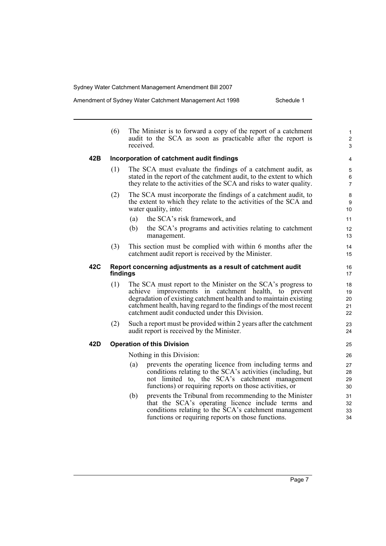Amendment of Sydney Water Catchment Management Act 1998 Schedule 1

|     | (6)                                                                      | The Minister is to forward a copy of the report of a catchment<br>audit to the SCA as soon as practicable after the report is<br>received.                                                                                                                                                                        | $\mathbf{1}$<br>$\overline{c}$<br>3 |
|-----|--------------------------------------------------------------------------|-------------------------------------------------------------------------------------------------------------------------------------------------------------------------------------------------------------------------------------------------------------------------------------------------------------------|-------------------------------------|
| 42B |                                                                          | Incorporation of catchment audit findings                                                                                                                                                                                                                                                                         | 4                                   |
|     | (1)                                                                      | The SCA must evaluate the findings of a catchment audit, as<br>stated in the report of the catchment audit, to the extent to which<br>they relate to the activities of the SCA and risks to water quality.                                                                                                        | 5<br>6<br>$\overline{7}$            |
|     | (2)                                                                      | The SCA must incorporate the findings of a catchment audit, to<br>the extent to which they relate to the activities of the SCA and<br>water quality, into:                                                                                                                                                        | 8<br>9<br>10                        |
|     |                                                                          | the SCA's risk framework, and<br>(a)                                                                                                                                                                                                                                                                              | 11                                  |
|     |                                                                          | the SCA's programs and activities relating to catchment<br>(b)<br>management.                                                                                                                                                                                                                                     | 12<br>13                            |
|     | (3)                                                                      | This section must be complied with within 6 months after the<br>catchment audit report is received by the Minister.                                                                                                                                                                                               | 14<br>15                            |
| 42C | Report concerning adjustments as a result of catchment audit<br>findings |                                                                                                                                                                                                                                                                                                                   | 16<br>17                            |
|     | (1)                                                                      | The SCA must report to the Minister on the SCA's progress to<br>achieve improvements in catchment health, to prevent<br>degradation of existing catchment health and to maintain existing<br>catchment health, having regard to the findings of the most recent<br>catchment audit conducted under this Division. | 18<br>19<br>20<br>21<br>22          |
|     | (2)                                                                      | Such a report must be provided within 2 years after the catchment<br>audit report is received by the Minister.                                                                                                                                                                                                    | 23<br>24                            |
| 42D |                                                                          | <b>Operation of this Division</b>                                                                                                                                                                                                                                                                                 | 25                                  |
|     |                                                                          | Nothing in this Division:                                                                                                                                                                                                                                                                                         | 26                                  |
|     |                                                                          | prevents the operating licence from including terms and<br>(a)<br>conditions relating to the SCA's activities (including, but<br>not limited to, the SCA's catchment management<br>functions) or requiring reports on those activities, or                                                                        | 27<br>28<br>29<br>30                |
|     |                                                                          | (b)<br>prevents the Tribunal from recommending to the Minister<br>that the SCA's operating licence include terms and<br>conditions relating to the SCA's catchment management<br>functions or requiring reports on those functions.                                                                               | 31<br>32<br>33<br>34                |
|     |                                                                          |                                                                                                                                                                                                                                                                                                                   |                                     |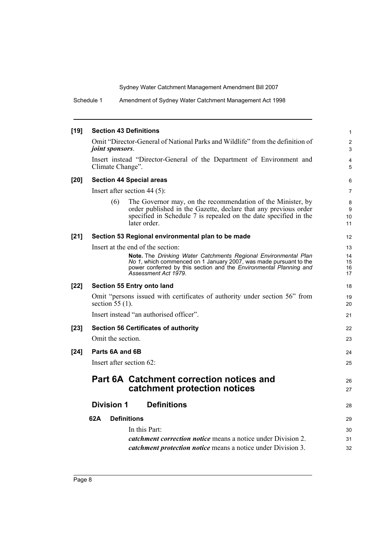Schedule 1 Amendment of Sydney Water Catchment Management Act 1998

| $[19]$ | <b>Section 43 Definitions</b>                                                                                                                                                                                             | 1                   |
|--------|---------------------------------------------------------------------------------------------------------------------------------------------------------------------------------------------------------------------------|---------------------|
|        | Omit "Director-General of National Parks and Wildlife" from the definition of<br>joint sponsors.                                                                                                                          | $\overline{c}$<br>3 |
|        | Insert instead "Director-General of the Department of Environment and<br>Climate Change".                                                                                                                                 | 4<br>5              |
| $[20]$ | <b>Section 44 Special areas</b>                                                                                                                                                                                           | 6                   |
|        | Insert after section $44(5)$ :                                                                                                                                                                                            | $\overline{7}$      |
|        | (6)<br>The Governor may, on the recommendation of the Minister, by<br>order published in the Gazette, declare that any previous order<br>specified in Schedule 7 is repealed on the date specified in the<br>later order. | 8<br>9<br>10<br>11  |
| $[21]$ | Section 53 Regional environmental plan to be made                                                                                                                                                                         | $12 \overline{ }$   |
|        | Insert at the end of the section:                                                                                                                                                                                         | 13                  |
|        | Note. The Drinking Water Catchments Regional Environmental Plan<br>No 1, which commenced on 1 January 2007, was made pursuant to the                                                                                      | 14<br>15            |
|        | power conferred by this section and the Environmental Planning and<br>Assessment Act 1979.                                                                                                                                | 16<br>17            |
| $[22]$ | Section 55 Entry onto land                                                                                                                                                                                                | 18                  |
|        | Omit "persons issued with certificates of authority under section 56" from<br>section $55(1)$ .                                                                                                                           | 19<br>20            |
|        | Insert instead "an authorised officer".                                                                                                                                                                                   | 21                  |
| $[23]$ | <b>Section 56 Certificates of authority</b>                                                                                                                                                                               | 22                  |
|        | Omit the section.                                                                                                                                                                                                         | 23                  |
| $[24]$ | Parts 6A and 6B                                                                                                                                                                                                           | 24                  |
|        | Insert after section 62:                                                                                                                                                                                                  | 25                  |
|        | <b>Part 6A Catchment correction notices and</b><br>catchment protection notices                                                                                                                                           | 26<br>27            |
|        | <b>Division 1</b><br><b>Definitions</b>                                                                                                                                                                                   | 28                  |
|        | 62A<br><b>Definitions</b>                                                                                                                                                                                                 | 29                  |
|        | In this Part:                                                                                                                                                                                                             | 30                  |
|        | <i>catchment correction notice</i> means a notice under Division 2.                                                                                                                                                       | 31                  |
|        | <i>catchment protection notice</i> means a notice under Division 3.                                                                                                                                                       | 32                  |
|        |                                                                                                                                                                                                                           |                     |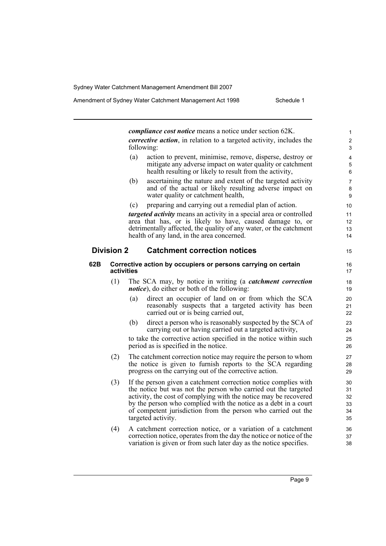*compliance cost notice* means a notice under section 62K. *corrective action*, in relation to a targeted activity, includes the following: (a) action to prevent, minimise, remove, disperse, destroy or mitigate any adverse impact on water quality or catchment health resulting or likely to result from the activity, (b) ascertaining the nature and extent of the targeted activity and of the actual or likely resulting adverse impact on water quality or catchment health, (c) preparing and carrying out a remedial plan of action. *targeted activity* means an activity in a special area or controlled area that has, or is likely to have, caused damage to, or detrimentally affected, the quality of any water, or the catchment health of any land, in the area concerned. **Division 2 Catchment correction notices 62B Corrective action by occupiers or persons carrying on certain activities** (1) The SCA may, by notice in writing (a *catchment correction notice*), do either or both of the following: (a) direct an occupier of land on or from which the SCA reasonably suspects that a targeted activity has been carried out or is being carried out, (b) direct a person who is reasonably suspected by the SCA of carrying out or having carried out a targeted activity, to take the corrective action specified in the notice within such period as is specified in the notice. (2) The catchment correction notice may require the person to whom the notice is given to furnish reports to the SCA regarding progress on the carrying out of the corrective action. (3) If the person given a catchment correction notice complies with the notice but was not the person who carried out the targeted activity, the cost of complying with the notice may be recovered by the person who complied with the notice as a debt in a court of competent jurisdiction from the person who carried out the targeted activity. 1  $\overline{2}$ 3 4 5 6 7 8 9 10 11 12 13 14 15 16 17 18 19 20 21 22 23 24 25 26 27 28 29 30 31 32 33 34 35 36

(4) A catchment correction notice, or a variation of a catchment correction notice, operates from the day the notice or notice of the variation is given or from such later day as the notice specifies.

37 38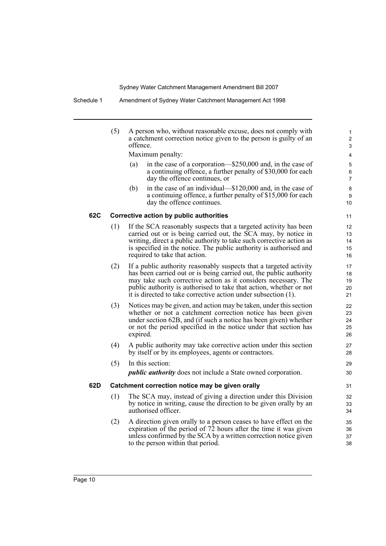|     | (5) | A person who, without reasonable excuse, does not comply with<br>a catchment correction notice given to the person is guilty of an<br>offence.<br>Maximum penalty:<br>in the case of a corporation-\$250,000 and, in the case of<br>(a)<br>a continuing offence, a further penalty of \$30,000 for each                                            | 1<br>$\overline{2}$<br>3<br>4<br>5<br>6   |
|-----|-----|----------------------------------------------------------------------------------------------------------------------------------------------------------------------------------------------------------------------------------------------------------------------------------------------------------------------------------------------------|-------------------------------------------|
|     |     | day the offence continues, or<br>in the case of an individual—\$120,000 and, in the case of<br>(b)<br>a continuing offence, a further penalty of \$15,000 for each<br>day the offence continues.                                                                                                                                                   | $\overline{7}$<br>8<br>9<br>10            |
| 62C |     | Corrective action by public authorities                                                                                                                                                                                                                                                                                                            | 11                                        |
|     | (1) | If the SCA reasonably suspects that a targeted activity has been<br>carried out or is being carried out, the SCA may, by notice in<br>writing, direct a public authority to take such corrective action as<br>is specified in the notice. The public authority is authorised and<br>required to take that action.                                  | $12 \overline{ }$<br>13<br>14<br>15<br>16 |
|     | (2) | If a public authority reasonably suspects that a targeted activity<br>has been carried out or is being carried out, the public authority<br>may take such corrective action as it considers necessary. The<br>public authority is authorised to take that action, whether or not<br>it is directed to take corrective action under subsection (1). | 17<br>18<br>19<br>20<br>21                |
|     | (3) | Notices may be given, and action may be taken, under this section<br>whether or not a catchment correction notice has been given<br>under section 62B, and (if such a notice has been given) whether<br>or not the period specified in the notice under that section has<br>expired.                                                               | 22<br>23<br>24<br>25<br>26                |
|     | (4) | A public authority may take corrective action under this section<br>by itself or by its employees, agents or contractors.                                                                                                                                                                                                                          | 27<br>28                                  |
|     | (5) | In this section:<br><i>public authority</i> does not include a State owned corporation.                                                                                                                                                                                                                                                            | 29<br>30                                  |
| 62D |     | Catchment correction notice may be given orally                                                                                                                                                                                                                                                                                                    | 31                                        |
|     | (1) | The SCA may, instead of giving a direction under this Division<br>by notice in writing, cause the direction to be given orally by an<br>authorised officer.                                                                                                                                                                                        | 32<br>33<br>34                            |
|     | (2) | A direction given orally to a person ceases to have effect on the<br>expiration of the period of 72 hours after the time it was given<br>unless confirmed by the SCA by a written correction notice given<br>to the person within that period.                                                                                                     | 35<br>36<br>37<br>38                      |
|     |     |                                                                                                                                                                                                                                                                                                                                                    |                                           |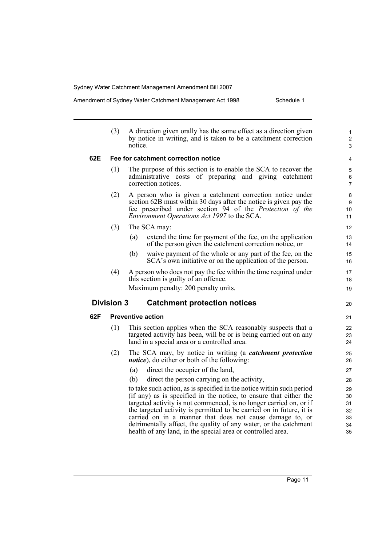|  | Amendment of Sydney Water Catchment Management Act 1998 | Schedule 1 |
|--|---------------------------------------------------------|------------|
|--|---------------------------------------------------------|------------|

|     | (3)               | A direction given orally has the same effect as a direction given<br>by notice in writing, and is taken to be a catchment correction<br>notice.                                                                                                                                                                                                      | $\mathbf{1}$<br>$\boldsymbol{2}$<br>3 |
|-----|-------------------|------------------------------------------------------------------------------------------------------------------------------------------------------------------------------------------------------------------------------------------------------------------------------------------------------------------------------------------------------|---------------------------------------|
| 62E |                   | Fee for catchment correction notice                                                                                                                                                                                                                                                                                                                  | 4                                     |
|     | (1)               | The purpose of this section is to enable the SCA to recover the<br>administrative costs of preparing and giving catchment<br>correction notices.                                                                                                                                                                                                     | 5<br>$\,6\,$<br>$\overline{7}$        |
|     | (2)               | A person who is given a catchment correction notice under<br>section 62B must within 30 days after the notice is given pay the<br>fee prescribed under section 94 of the <i>Protection of the</i><br><i>Environment Operations Act 1997</i> to the SCA.                                                                                              | 8<br>9<br>10<br>11                    |
|     | (3)               | The SCA may:                                                                                                                                                                                                                                                                                                                                         | 12                                    |
|     |                   | extend the time for payment of the fee, on the application<br>(a)<br>of the person given the catchment correction notice, or                                                                                                                                                                                                                         | 13<br>14                              |
|     |                   | (b)<br>waive payment of the whole or any part of the fee, on the<br>SCA's own initiative or on the application of the person.                                                                                                                                                                                                                        | 15<br>16                              |
|     | (4)               | A person who does not pay the fee within the time required under<br>this section is guilty of an offence.                                                                                                                                                                                                                                            | 17<br>18                              |
|     |                   | Maximum penalty: 200 penalty units.                                                                                                                                                                                                                                                                                                                  | 19                                    |
|     | <b>Division 3</b> | <b>Catchment protection notices</b>                                                                                                                                                                                                                                                                                                                  | 20                                    |
| 62F |                   | <b>Preventive action</b>                                                                                                                                                                                                                                                                                                                             | 21                                    |
|     | (1)               | This section applies when the SCA reasonably suspects that a<br>targeted activity has been, will be or is being carried out on any<br>land in a special area or a controlled area.                                                                                                                                                                   | 22<br>23<br>24                        |
|     | (2)               | The SCA may, by notice in writing (a <i>catchment protection</i><br><i>notice</i> ), do either or both of the following:                                                                                                                                                                                                                             | 25<br>26                              |
|     |                   | direct the occupier of the land,<br>(a)                                                                                                                                                                                                                                                                                                              | 27                                    |
|     |                   | (b)<br>direct the person carrying on the activity,                                                                                                                                                                                                                                                                                                   | 28                                    |
|     |                   | to take such action, as is specified in the notice within such period<br>(if any) as is specified in the notice, to ensure that either the<br>targeted activity is not commenced, is no longer carried on, or if<br>the targeted activity is permitted to be carried on in future, it is<br>carried on in a manner that does not cause damage to, or | 29<br>30<br>31<br>32<br>33            |
|     |                   | detrimentally affect, the quality of any water, or the catchment<br>health of any land, in the special area or controlled area.                                                                                                                                                                                                                      | 34<br>35                              |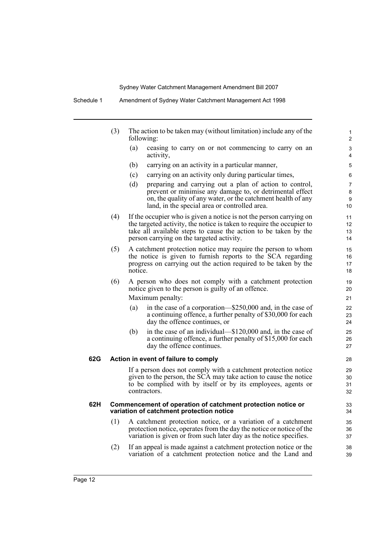Schedule 1 Amendment of Sydney Water Catchment Management Act 1998

|     | (3) |         | The action to be taken may (without limitation) include any of the<br>following:                                                                                                                                                                             | 1<br>2               |
|-----|-----|---------|--------------------------------------------------------------------------------------------------------------------------------------------------------------------------------------------------------------------------------------------------------------|----------------------|
|     |     | (a)     | ceasing to carry on or not commencing to carry on an<br>activity,                                                                                                                                                                                            | 3<br>4               |
|     |     | (b)     | carrying on an activity in a particular manner,                                                                                                                                                                                                              | 5                    |
|     |     | (c)     | carrying on an activity only during particular times,                                                                                                                                                                                                        | 6                    |
|     |     | (d)     | preparing and carrying out a plan of action to control,<br>prevent or minimise any damage to, or detrimental effect<br>on, the quality of any water, or the catchment health of any<br>land, in the special area or controlled area.                         | 7<br>8<br>9<br>10    |
|     | (4) |         | If the occupier who is given a notice is not the person carrying on<br>the targeted activity, the notice is taken to require the occupier to<br>take all available steps to cause the action to be taken by the<br>person carrying on the targeted activity. | 11<br>12<br>13<br>14 |
|     | (5) | notice. | A catchment protection notice may require the person to whom<br>the notice is given to furnish reports to the SCA regarding<br>progress on carrying out the action required to be taken by the                                                               | 15<br>16<br>17<br>18 |
|     | (6) |         | A person who does not comply with a catchment protection<br>notice given to the person is guilty of an offence.                                                                                                                                              | 19<br>20             |
|     |     |         | Maximum penalty:                                                                                                                                                                                                                                             | 21                   |
|     |     | (a)     | in the case of a corporation—\$250,000 and, in the case of<br>a continuing offence, a further penalty of \$30,000 for each<br>day the offence continues, or                                                                                                  | 22<br>23<br>24       |
|     |     | (b)     | in the case of an individual—\$120,000 and, in the case of<br>a continuing offence, a further penalty of \$15,000 for each<br>day the offence continues.                                                                                                     | 25<br>26<br>27       |
| 62G |     |         | Action in event of failure to comply                                                                                                                                                                                                                         | 28                   |
|     |     |         | If a person does not comply with a catchment protection notice<br>given to the person, the SCA may take action to cause the notice<br>to be complied with by itself or by its employees, agents or<br>contractors.                                           | 29<br>30<br>31<br>32 |
| 62H |     |         | Commencement of operation of catchment protection notice or<br>variation of catchment protection notice                                                                                                                                                      | 33<br>34             |
|     | (1) |         | A catchment protection notice, or a variation of a catchment<br>protection notice, operates from the day the notice or notice of the<br>variation is given or from such later day as the notice specifies.                                                   | 35<br>36<br>37       |
|     | (2) |         | If an appeal is made against a catchment protection notice or the<br>variation of a catchment protection notice and the Land and                                                                                                                             | 38<br>39             |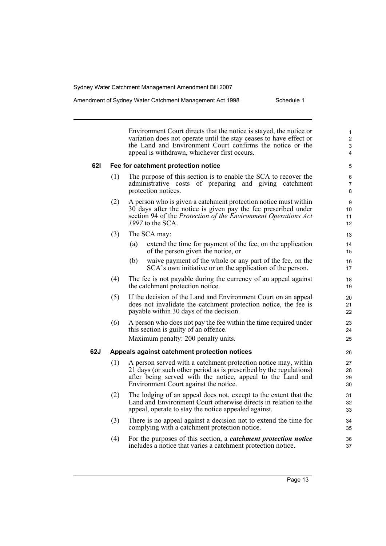Amendment of Sydney Water Catchment Management Act 1998 Schedule 1

Environment Court directs that the notice is stayed, the notice or variation does not operate until the stay ceases to have effect or the Land and Environment Court confirms the notice or the appeal is withdrawn, whichever first occurs.

### **62I Fee for catchment protection notice**

- (1) The purpose of this section is to enable the SCA to recover the administrative costs of preparing and giving catchment protection notices.
- (2) A person who is given a catchment protection notice must within 30 days after the notice is given pay the fee prescribed under section 94 of the *Protection of the Environment Operations Act 1997* to the SCA.
- (3) The SCA may:
	- (a) extend the time for payment of the fee, on the application of the person given the notice, or
	- (b) waive payment of the whole or any part of the fee, on the SCA's own initiative or on the application of the person.
- (4) The fee is not payable during the currency of an appeal against the catchment protection notice.
- (5) If the decision of the Land and Environment Court on an appeal does not invalidate the catchment protection notice, the fee is payable within 30 days of the decision.
- (6) A person who does not pay the fee within the time required under this section is guilty of an offence. Maximum penalty: 200 penalty units.

### **62J Appeals against catchment protection notices**

- (1) A person served with a catchment protection notice may, within 21 days (or such other period as is prescribed by the regulations) after being served with the notice, appeal to the Land and Environment Court against the notice.
- (2) The lodging of an appeal does not, except to the extent that the Land and Environment Court otherwise directs in relation to the appeal, operate to stay the notice appealed against.
- (3) There is no appeal against a decision not to extend the time for complying with a catchment protection notice.
- (4) For the purposes of this section, a *catchment protection notice* includes a notice that varies a catchment protection notice.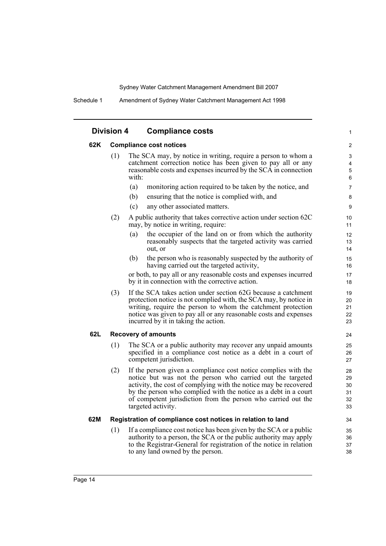| <b>Division 4</b> | <b>Compliance costs</b> |
|-------------------|-------------------------|
|-------------------|-------------------------|

### **62K Compliance cost notices**

| (1) | The SCA may, by notice in writing, require a person to whom a<br>catchment correction notice has been given to pay all or any<br>reasonable costs and expenses incurred by the SCA in connection<br>with: |
|-----|-----------------------------------------------------------------------------------------------------------------------------------------------------------------------------------------------------------|
|     |                                                                                                                                                                                                           |

(a) monitoring action required to be taken by the notice, and

1

- (b) ensuring that the notice is complied with, and
- (c) any other associated matters.
- (2) A public authority that takes corrective action under section 62C may, by notice in writing, require:
	- (a) the occupier of the land on or from which the authority reasonably suspects that the targeted activity was carried out, or
	- (b) the person who is reasonably suspected by the authority of having carried out the targeted activity,

or both, to pay all or any reasonable costs and expenses incurred by it in connection with the corrective action.

(3) If the SCA takes action under section 62G because a catchment protection notice is not complied with, the SCA may, by notice in writing, require the person to whom the catchment protection notice was given to pay all or any reasonable costs and expenses incurred by it in taking the action.

### **62L Recovery of amounts**

- (1) The SCA or a public authority may recover any unpaid amounts specified in a compliance cost notice as a debt in a court of competent jurisdiction.
- (2) If the person given a compliance cost notice complies with the notice but was not the person who carried out the targeted activity, the cost of complying with the notice may be recovered by the person who complied with the notice as a debt in a court of competent jurisdiction from the person who carried out the targeted activity.

### **62M Registration of compliance cost notices in relation to land**

(1) If a compliance cost notice has been given by the SCA or a public authority to a person, the SCA or the public authority may apply to the Registrar-General for registration of the notice in relation to any land owned by the person.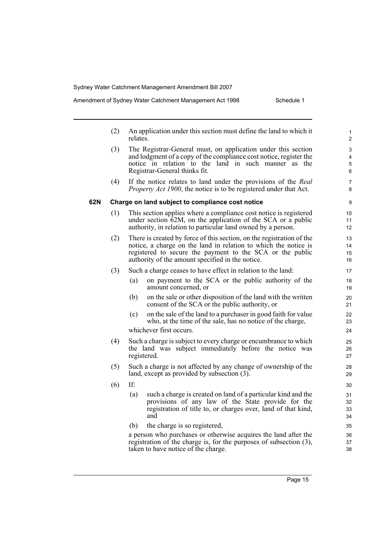|     | (2) | relates. | An application under this section must define the land to which it                                                                                                                                                                                        | $\mathbf{1}$<br>2    |
|-----|-----|----------|-----------------------------------------------------------------------------------------------------------------------------------------------------------------------------------------------------------------------------------------------------------|----------------------|
|     | (3) |          | The Registrar-General must, on application under this section<br>and lodgment of a copy of the compliance cost notice, register the<br>notice in relation to the land in such manner as the<br>Registrar-General thinks fit.                              | 3<br>4<br>5<br>6     |
|     | (4) |          | If the notice relates to land under the provisions of the Real<br><i>Property Act 1900</i> , the notice is to be registered under that Act.                                                                                                               | $\overline{7}$<br>8  |
| 62N |     |          | Charge on land subject to compliance cost notice                                                                                                                                                                                                          | 9                    |
|     | (1) |          | This section applies where a compliance cost notice is registered<br>under section 62M, on the application of the SCA or a public<br>authority, in relation to particular land owned by a person.                                                         | 10<br>11<br>12       |
|     | (2) |          | There is created by force of this section, on the registration of the<br>notice, a charge on the land in relation to which the notice is<br>registered to secure the payment to the SCA or the public<br>authority of the amount specified in the notice. | 13<br>14<br>15<br>16 |
|     | (3) |          | Such a charge ceases to have effect in relation to the land:                                                                                                                                                                                              | 17                   |
|     |     | (a)      | on payment to the SCA or the public authority of the<br>amount concerned, or                                                                                                                                                                              | 18<br>19             |
|     |     | (b)      | on the sale or other disposition of the land with the written<br>consent of the SCA or the public authority, or                                                                                                                                           | 20<br>21             |
|     |     | (c)      | on the sale of the land to a purchaser in good faith for value<br>who, at the time of the sale, has no notice of the charge,                                                                                                                              | 22<br>23             |
|     |     |          | whichever first occurs.                                                                                                                                                                                                                                   | 24                   |
|     | (4) |          | Such a charge is subject to every charge or encumbrance to which<br>the land was subject immediately before the notice was<br>registered.                                                                                                                 | 25<br>26<br>27       |
|     | (5) |          | Such a charge is not affected by any change of ownership of the<br>land, except as provided by subsection (3).                                                                                                                                            | 28<br>29             |
|     | (6) | If:      |                                                                                                                                                                                                                                                           | 30                   |
|     |     | (a)      | such a charge is created on land of a particular kind and the<br>provisions of any law of the State provide for the<br>registration of title to, or charges over, land of that kind,<br>and                                                               | 31<br>32<br>33<br>34 |
|     |     | (b)      | the charge is so registered,                                                                                                                                                                                                                              | 35                   |
|     |     |          | a person who purchases or otherwise acquires the land after the<br>registration of the charge is, for the purposes of subsection (3),<br>taken to have notice of the charge.                                                                              | 36<br>37<br>38       |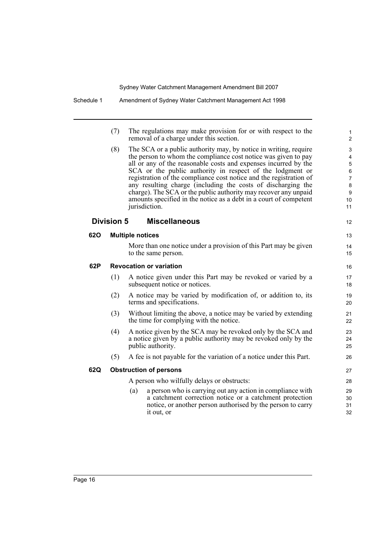12

13 14 15

|            | (7)               | The regulations may make provision for or with respect to the<br>removal of a charge under this section.                                                                                                                                                                                                                                                                                                                                                                                                                                                          |
|------------|-------------------|-------------------------------------------------------------------------------------------------------------------------------------------------------------------------------------------------------------------------------------------------------------------------------------------------------------------------------------------------------------------------------------------------------------------------------------------------------------------------------------------------------------------------------------------------------------------|
|            | (8)               | The SCA or a public authority may, by notice in writing, require<br>the person to whom the compliance cost notice was given to pay<br>all or any of the reasonable costs and expenses incurred by the<br>SCA or the public authority in respect of the lodgment or<br>registration of the compliance cost notice and the registration of<br>any resulting charge (including the costs of discharging the<br>charge). The SCA or the public authority may recover any unpaid<br>amounts specified in the notice as a debt in a court of competent<br>jurisdiction. |
|            | <b>Division 5</b> | <b>Miscellaneous</b>                                                                                                                                                                                                                                                                                                                                                                                                                                                                                                                                              |
| <b>620</b> |                   | <b>Multiple notices</b>                                                                                                                                                                                                                                                                                                                                                                                                                                                                                                                                           |
|            |                   | More than one notice under a provision of this Part may be given<br>to the same person.                                                                                                                                                                                                                                                                                                                                                                                                                                                                           |
| 62P        |                   | <b>Revocation or variation</b>                                                                                                                                                                                                                                                                                                                                                                                                                                                                                                                                    |
|            | (1)               | A notice given under this Part may be revoked or varied by a<br>subsequent notice or notices.                                                                                                                                                                                                                                                                                                                                                                                                                                                                     |
|            | (2)               | A notice may be varied by modification of, or addition to, its<br>terms and specifications.                                                                                                                                                                                                                                                                                                                                                                                                                                                                       |
|            | (3)               | Without limiting the above, a notice may be varied by extending<br>the time for complying with the notice.                                                                                                                                                                                                                                                                                                                                                                                                                                                        |
|            | (4)               | A notice given by the SCA may be revoked only by the SCA and<br>a notice given by a public authority may be revoked only by the<br>public authority.                                                                                                                                                                                                                                                                                                                                                                                                              |
|            | (5)               | A fee is not payable for the variation of a notice under this Part.                                                                                                                                                                                                                                                                                                                                                                                                                                                                                               |
| 62Q        |                   | <b>Obstruction of persons</b>                                                                                                                                                                                                                                                                                                                                                                                                                                                                                                                                     |
|            |                   | A person who wilfully delays or obstructs:                                                                                                                                                                                                                                                                                                                                                                                                                                                                                                                        |
|            |                   | a person who is carrying out any action in compliance with<br>(a)<br>a catchment correction notice or a catchment protection                                                                                                                                                                                                                                                                                                                                                                                                                                      |

notice, or another person authorised by the person to carry

it out, or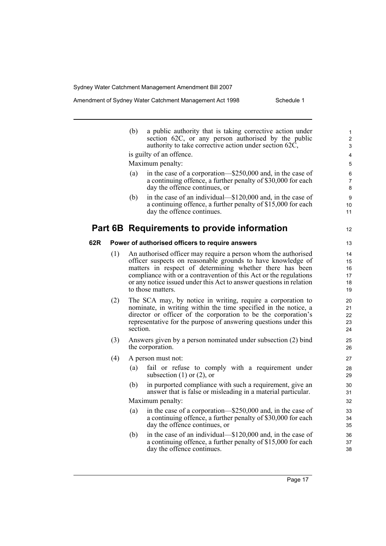## Amendment of Sydney Water Catchment Management Act 1998 Schedule 1

|     |     | (b)<br>a public authority that is taking corrective action under<br>section 62C, or any person authorised by the public<br>authority to take corrective action under section 62C, | 1<br>$\overline{c}$<br>3 |
|-----|-----|-----------------------------------------------------------------------------------------------------------------------------------------------------------------------------------|--------------------------|
|     |     | is guilty of an offence.                                                                                                                                                          | $\overline{4}$           |
|     |     | Maximum penalty:                                                                                                                                                                  | 5                        |
|     |     | in the case of a corporation-\$250,000 and, in the case of<br>(a)                                                                                                                 | 6                        |
|     |     | a continuing offence, a further penalty of \$30,000 for each                                                                                                                      | $\overline{7}$           |
|     |     | day the offence continues, or                                                                                                                                                     | 8                        |
|     |     | in the case of an individual—\$120,000 and, in the case of<br>(b)<br>a continuing offence, a further penalty of \$15,000 for each                                                 | 9<br>10                  |
|     |     | day the offence continues.                                                                                                                                                        | 11                       |
|     |     |                                                                                                                                                                                   |                          |
|     |     | Part 6B Requirements to provide information                                                                                                                                       | 12                       |
| 62R |     | Power of authorised officers to require answers                                                                                                                                   | 13                       |
|     | (1) | An authorised officer may require a person whom the authorised                                                                                                                    | 14                       |
|     |     | officer suspects on reasonable grounds to have knowledge of                                                                                                                       | 15                       |
|     |     | matters in respect of determining whether there has been                                                                                                                          | 16                       |
|     |     | compliance with or a contravention of this Act or the regulations<br>or any notice issued under this Act to answer questions in relation                                          | 17<br>18                 |
|     |     | to those matters.                                                                                                                                                                 | 19                       |
|     | (2) | The SCA may, by notice in writing, require a corporation to                                                                                                                       | 20                       |
|     |     | nominate, in writing within the time specified in the notice, a                                                                                                                   | 21                       |
|     |     | director or officer of the corporation to be the corporation's                                                                                                                    | 22                       |
|     |     | representative for the purpose of answering questions under this<br>section.                                                                                                      | 23<br>24                 |
|     |     |                                                                                                                                                                                   |                          |
|     | (3) | Answers given by a person nominated under subsection (2) bind<br>the corporation.                                                                                                 | 25<br>26                 |
|     | (4) | A person must not:                                                                                                                                                                | 27                       |
|     |     | fail or refuse to comply with a requirement under<br>(a)<br>subsection $(1)$ or $(2)$ , or                                                                                        | 28<br>29                 |
|     |     | in purported compliance with such a requirement, give an<br>(b)<br>answer that is false or misleading in a material particular.                                                   | 30<br>31                 |
|     |     | Maximum penalty:                                                                                                                                                                  | 32                       |
|     |     | in the case of a corporation—\$250,000 and, in the case of<br>(a)                                                                                                                 | 33                       |
|     |     | a continuing offence, a further penalty of \$30,000 for each                                                                                                                      | 34                       |
|     |     | day the offence continues, or                                                                                                                                                     | 35                       |
|     |     | in the case of an individual—\$120,000 and, in the case of<br>(b)                                                                                                                 | 36                       |
|     |     | a continuing offence, a further penalty of \$15,000 for each<br>day the offence continues.                                                                                        | 37<br>38                 |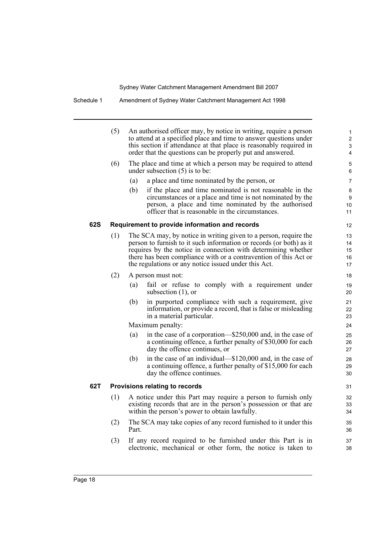|     | (5) | An authorised officer may, by notice in writing, require a person<br>to attend at a specified place and time to answer questions under<br>this section if attendance at that place is reasonably required in<br>order that the questions can be properly put and answered. | $\mathbf{1}$<br>$\overline{c}$<br>$\mathfrak{S}$<br>4 |
|-----|-----|----------------------------------------------------------------------------------------------------------------------------------------------------------------------------------------------------------------------------------------------------------------------------|-------------------------------------------------------|
|     | (6) | The place and time at which a person may be required to attend<br>under subsection $(5)$ is to be:                                                                                                                                                                         | 5<br>6                                                |
|     |     | (a)<br>a place and time nominated by the person, or                                                                                                                                                                                                                        | 7                                                     |
|     |     | (b)<br>if the place and time nominated is not reasonable in the<br>circumstances or a place and time is not nominated by the                                                                                                                                               | 8<br>9                                                |
|     |     | person, a place and time nominated by the authorised<br>officer that is reasonable in the circumstances.                                                                                                                                                                   | 10<br>11                                              |
| 62S |     | Requirement to provide information and records                                                                                                                                                                                                                             | 12                                                    |
|     | (1) | The SCA may, by notice in writing given to a person, require the                                                                                                                                                                                                           | 13                                                    |
|     |     | person to furnish to it such information or records (or both) as it                                                                                                                                                                                                        | 14                                                    |
|     |     | requires by the notice in connection with determining whether                                                                                                                                                                                                              | 15                                                    |
|     |     | there has been compliance with or a contravention of this Act or<br>the regulations or any notice issued under this Act.                                                                                                                                                   | 16<br>17                                              |
|     | (2) | A person must not:                                                                                                                                                                                                                                                         | 18                                                    |
|     |     | fail or refuse to comply with a requirement under<br>(a)<br>subsection $(1)$ , or                                                                                                                                                                                          | 19<br>20                                              |
|     |     | in purported compliance with such a requirement, give<br>(b)<br>information, or provide a record, that is false or misleading<br>in a material particular.                                                                                                                 | 21<br>22<br>23                                        |
|     |     | Maximum penalty:                                                                                                                                                                                                                                                           | 24                                                    |
|     |     | in the case of a corporation—\$250,000 and, in the case of<br>(a)                                                                                                                                                                                                          | 25                                                    |
|     |     | a continuing offence, a further penalty of \$30,000 for each<br>day the offence continues, or                                                                                                                                                                              | 26<br>27                                              |
|     |     | in the case of an individual—\$120,000 and, in the case of<br>(b)                                                                                                                                                                                                          | 28                                                    |
|     |     | a continuing offence, a further penalty of \$15,000 for each<br>day the offence continues.                                                                                                                                                                                 | 29<br>30                                              |
| 62T |     | Provisions relating to records                                                                                                                                                                                                                                             | 31                                                    |
|     | (1) | A notice under this Part may require a person to furnish only<br>existing records that are in the person's possession or that are<br>within the person's power to obtain lawfully.                                                                                         | 32<br>33<br>34                                        |
|     | (2) | The SCA may take copies of any record furnished to it under this<br>Part.                                                                                                                                                                                                  | 35<br>36                                              |
|     | (3) | If any record required to be furnished under this Part is in<br>electronic, mechanical or other form, the notice is taken to                                                                                                                                               | 37<br>38                                              |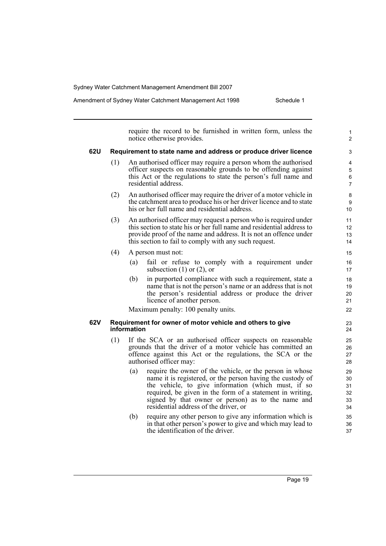Amendment of Sydney Water Catchment Management Act 1998 Schedule 1

require the record to be furnished in written form, unless the notice otherwise provides. **62U Requirement to state name and address or produce driver licence** (1) An authorised officer may require a person whom the authorised officer suspects on reasonable grounds to be offending against this Act or the regulations to state the person's full name and residential address. (2) An authorised officer may require the driver of a motor vehicle in the catchment area to produce his or her driver licence and to state his or her full name and residential address. (3) An authorised officer may request a person who is required under this section to state his or her full name and residential address to provide proof of the name and address. It is not an offence under this section to fail to comply with any such request. (4) A person must not: (a) fail or refuse to comply with a requirement under subsection  $(1)$  or  $(2)$ , or (b) in purported compliance with such a requirement, state a name that is not the person's name or an address that is not the person's residential address or produce the driver licence of another person. Maximum penalty: 100 penalty units. **62V Requirement for owner of motor vehicle and others to give information** (1) If the SCA or an authorised officer suspects on reasonable grounds that the driver of a motor vehicle has committed an offence against this Act or the regulations, the SCA or the authorised officer may: (a) require the owner of the vehicle, or the person in whose name it is registered, or the person having the custody of the vehicle, to give information (which must, if so required, be given in the form of a statement in writing, signed by that owner or person) as to the name and residential address of the driver, or (b) require any other person to give any information which is in that other person's power to give and which may lead to the identification of the driver. 1  $\overline{2}$ 3 4 5 6 7 8 9 10 11 12 13 14 15 16 17 18 19 20 21  $22$ 23 24 25 26 27 28 29 30 31 32 33 34 35 36 37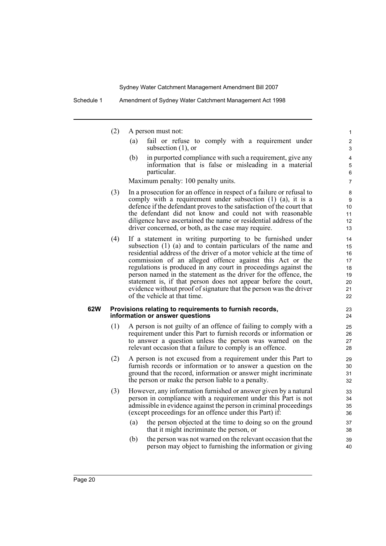- (2) A person must not:
	- (a) fail or refuse to comply with a requirement under subsection (1), or

(b) in purported compliance with such a requirement, give any information that is false or misleading in a material particular.

Maximum penalty: 100 penalty units.

- (3) In a prosecution for an offence in respect of a failure or refusal to comply with a requirement under subsection (1) (a), it is a defence if the defendant proves to the satisfaction of the court that the defendant did not know and could not with reasonable diligence have ascertained the name or residential address of the driver concerned, or both, as the case may require.
- (4) If a statement in writing purporting to be furnished under subsection (1) (a) and to contain particulars of the name and residential address of the driver of a motor vehicle at the time of commission of an alleged offence against this Act or the regulations is produced in any court in proceedings against the person named in the statement as the driver for the offence, the statement is, if that person does not appear before the court, evidence without proof of signature that the person was the driver of the vehicle at that time.

#### **62W Provisions relating to requirements to furnish records, information or answer questions**

- (1) A person is not guilty of an offence of failing to comply with a requirement under this Part to furnish records or information or to answer a question unless the person was warned on the relevant occasion that a failure to comply is an offence.
- (2) A person is not excused from a requirement under this Part to furnish records or information or to answer a question on the ground that the record, information or answer might incriminate the person or make the person liable to a penalty.
- (3) However, any information furnished or answer given by a natural person in compliance with a requirement under this Part is not admissible in evidence against the person in criminal proceedings (except proceedings for an offence under this Part) if:
	- (a) the person objected at the time to doing so on the ground that it might incriminate the person, or
	- (b) the person was not warned on the relevant occasion that the person may object to furnishing the information or giving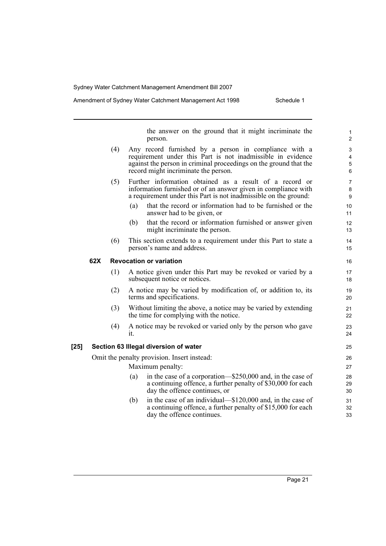#### Amendment of Sydney Water Catchment Management Act 1998 Schedule 1

the answer on the ground that it might incriminate the person. (4) Any record furnished by a person in compliance with a requirement under this Part is not inadmissible in evidence against the person in criminal proceedings on the ground that the record might incriminate the person. (5) Further information obtained as a result of a record or information furnished or of an answer given in compliance with a requirement under this Part is not inadmissible on the ground: (a) that the record or information had to be furnished or the answer had to be given, or (b) that the record or information furnished or answer given might incriminate the person. (6) This section extends to a requirement under this Part to state a person's name and address. **62X Revocation or variation** (1) A notice given under this Part may be revoked or varied by a subsequent notice or notices. (2) A notice may be varied by modification of, or addition to, its terms and specifications. (3) Without limiting the above, a notice may be varied by extending the time for complying with the notice. (4) A notice may be revoked or varied only by the person who gave it. **[25] Section 63 Illegal diversion of water** Omit the penalty provision. Insert instead: Maximum penalty: (a) in the case of a corporation—\$250,000 and, in the case of a continuing offence, a further penalty of \$30,000 for each day the offence continues, or (b) in the case of an individual—\$120,000 and, in the case of a continuing offence, a further penalty of \$15,000 for each day the offence continues. 1 2 3 4 5 6 7 8 9 10 11 12 13 14 15 16 17 18 19 20 21 22 23 24 25 26 27 28 29 30 31 32 33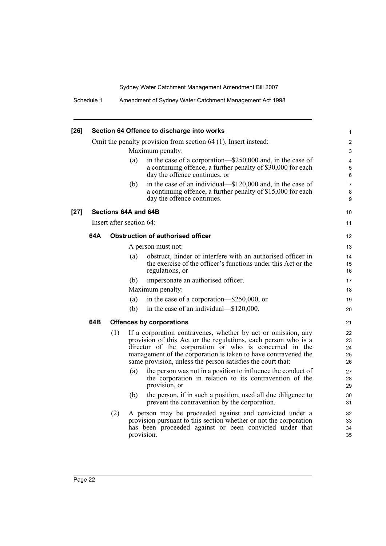| $[26]$ |     |     | Section 64 Offence to discharge into works                                                                                                                                                                                                                                                                                 | 1                          |
|--------|-----|-----|----------------------------------------------------------------------------------------------------------------------------------------------------------------------------------------------------------------------------------------------------------------------------------------------------------------------------|----------------------------|
|        |     |     | Omit the penalty provision from section 64 (1). Insert instead:                                                                                                                                                                                                                                                            | 2                          |
|        |     |     | Maximum penalty:                                                                                                                                                                                                                                                                                                           | 3                          |
|        |     |     | in the case of a corporation—\$250,000 and, in the case of<br>(a)<br>a continuing offence, a further penalty of \$30,000 for each<br>day the offence continues, or                                                                                                                                                         | $\overline{4}$<br>5<br>6   |
|        |     |     | in the case of an individual—\$120,000 and, in the case of<br>(b)<br>a continuing offence, a further penalty of \$15,000 for each<br>day the offence continues.                                                                                                                                                            | $\overline{7}$<br>8<br>9   |
| $[27]$ |     |     | Sections 64A and 64B                                                                                                                                                                                                                                                                                                       | 10                         |
|        |     |     | Insert after section 64:                                                                                                                                                                                                                                                                                                   | 11                         |
|        | 64A |     | <b>Obstruction of authorised officer</b>                                                                                                                                                                                                                                                                                   | $12 \overline{ }$          |
|        |     |     | A person must not:                                                                                                                                                                                                                                                                                                         | 13                         |
|        |     |     | obstruct, hinder or interfere with an authorised officer in<br>(a)<br>the exercise of the officer's functions under this Act or the<br>regulations, or                                                                                                                                                                     | 14<br>15<br>16             |
|        |     |     | (b)<br>impersonate an authorised officer.                                                                                                                                                                                                                                                                                  | 17                         |
|        |     |     | Maximum penalty:                                                                                                                                                                                                                                                                                                           | 18                         |
|        |     |     | in the case of a corporation—\$250,000, or<br>(a)                                                                                                                                                                                                                                                                          | 19                         |
|        |     |     | in the case of an individual—\$120,000.<br>(b)                                                                                                                                                                                                                                                                             | 20                         |
|        | 64B |     | <b>Offences by corporations</b>                                                                                                                                                                                                                                                                                            | 21                         |
|        |     | (1) | If a corporation contravenes, whether by act or omission, any<br>provision of this Act or the regulations, each person who is a<br>director of the corporation or who is concerned in the<br>management of the corporation is taken to have contravened the<br>same provision, unless the person satisfies the court that: | 22<br>23<br>24<br>25<br>26 |
|        |     |     | (a)<br>the person was not in a position to influence the conduct of<br>the corporation in relation to its contravention of the<br>provision, or<br>the person, if in such a position, used all due diligence to<br>(b)                                                                                                     | 27<br>28<br>29<br>30       |
|        |     |     | prevent the contravention by the corporation.                                                                                                                                                                                                                                                                              | 31                         |
|        |     | (2) | A person may be proceeded against and convicted under a<br>provision pursuant to this section whether or not the corporation<br>has been proceeded against or been convicted under that<br>provision.                                                                                                                      | 32<br>33<br>34<br>35       |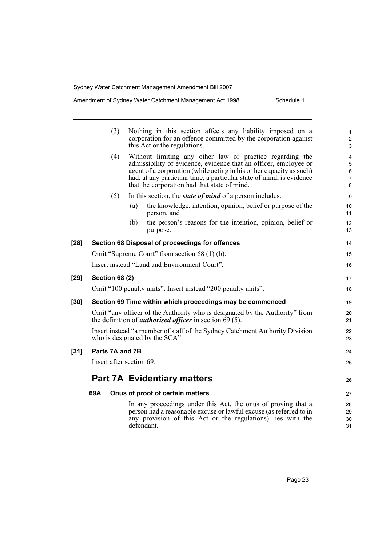## Amendment of Sydney Water Catchment Management Act 1998 Schedule 1

|        | (3)                      | Nothing in this section affects any liability imposed on a<br>corporation for an offence committed by the corporation against<br>this Act or the regulations.                                                                                                                                                                | 1<br>$\overline{\mathbf{c}}$<br>3 |
|--------|--------------------------|------------------------------------------------------------------------------------------------------------------------------------------------------------------------------------------------------------------------------------------------------------------------------------------------------------------------------|-----------------------------------|
|        | (4)                      | Without limiting any other law or practice regarding the<br>admissibility of evidence, evidence that an officer, employee or<br>agent of a corporation (while acting in his or her capacity as such)<br>had, at any particular time, a particular state of mind, is evidence<br>that the corporation had that state of mind. | 4<br>5<br>6<br>7<br>8             |
|        | (5)                      | In this section, the <i>state of mind</i> of a person includes:                                                                                                                                                                                                                                                              | 9                                 |
|        |                          | the knowledge, intention, opinion, belief or purpose of the<br>(a)<br>person, and                                                                                                                                                                                                                                            | 10<br>11                          |
|        |                          | the person's reasons for the intention, opinion, belief or<br>(b)<br>purpose.                                                                                                                                                                                                                                                | 12<br>13                          |
| $[28]$ |                          | Section 68 Disposal of proceedings for offences                                                                                                                                                                                                                                                                              | 14                                |
|        |                          | Omit "Supreme Court" from section 68 (1) (b).                                                                                                                                                                                                                                                                                | 15                                |
|        |                          | Insert instead "Land and Environment Court".                                                                                                                                                                                                                                                                                 | 16                                |
| $[29]$ | <b>Section 68 (2)</b>    |                                                                                                                                                                                                                                                                                                                              | 17                                |
|        |                          | Omit "100 penalty units". Insert instead "200 penalty units".                                                                                                                                                                                                                                                                | 18                                |
| $[30]$ |                          | Section 69 Time within which proceedings may be commenced                                                                                                                                                                                                                                                                    | 19                                |
|        |                          | Omit "any officer of the Authority who is designated by the Authority" from<br>the definition of <i>authorised officer</i> in section $69(5)$ .                                                                                                                                                                              | 20<br>21                          |
|        |                          | Insert instead "a member of staff of the Sydney Catchment Authority Division<br>who is designated by the SCA".                                                                                                                                                                                                               | 22<br>23                          |
| $[31]$ | Parts 7A and 7B          |                                                                                                                                                                                                                                                                                                                              | 24                                |
|        | Insert after section 69: |                                                                                                                                                                                                                                                                                                                              | 25                                |
|        |                          | <b>Part 7A Evidentiary matters</b>                                                                                                                                                                                                                                                                                           | 26                                |
|        | 69A                      | Onus of proof of certain matters                                                                                                                                                                                                                                                                                             | 27                                |
|        |                          | In any proceedings under this Act, the onus of proving that a<br>person had a reasonable excuse or lawful excuse (as referred to in<br>any provision of this Act or the regulations) lies with the<br>defendant.                                                                                                             | 28<br>29<br>30<br>31              |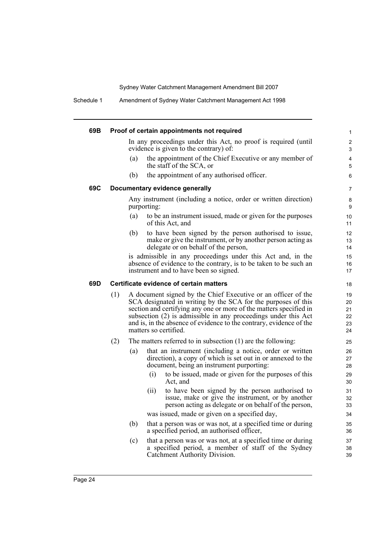Schedule 1 Amendment of Sydney Water Catchment Management Act 1998

| 69B |     |     | Proof of certain appointments not required                                                                                                                                                                                                                                                                                                                             |                     |
|-----|-----|-----|------------------------------------------------------------------------------------------------------------------------------------------------------------------------------------------------------------------------------------------------------------------------------------------------------------------------------------------------------------------------|---------------------|
|     |     |     | In any proceedings under this Act, no proof is required (until<br>evidence is given to the contrary) of:                                                                                                                                                                                                                                                               | $\overline{c}$<br>3 |
|     |     | (a) | the appointment of the Chief Executive or any member of<br>the staff of the SCA, or                                                                                                                                                                                                                                                                                    | 4<br>5              |
|     |     | (b) | the appointment of any authorised officer.                                                                                                                                                                                                                                                                                                                             | 6                   |
| 69C |     |     | Documentary evidence generally                                                                                                                                                                                                                                                                                                                                         | 7                   |
|     |     |     | Any instrument (including a notice, order or written direction)<br>purporting:                                                                                                                                                                                                                                                                                         | 8<br>9              |
|     |     | (a) | to be an instrument issued, made or given for the purposes<br>of this Act, and                                                                                                                                                                                                                                                                                         | 10<br>11            |
|     |     | (b) | to have been signed by the person authorised to issue,<br>make or give the instrument, or by another person acting as<br>delegate or on behalf of the person,                                                                                                                                                                                                          | 12<br>13<br>14      |
|     |     |     | is admissible in any proceedings under this Act and, in the<br>absence of evidence to the contrary, is to be taken to be such an<br>instrument and to have been so signed.                                                                                                                                                                                             | 15<br>16<br>17      |
| 69D |     |     | Certificate evidence of certain matters                                                                                                                                                                                                                                                                                                                                | 18                  |
|     | (1) |     | A document signed by the Chief Executive or an officer of the<br>SCA designated in writing by the SCA for the purposes of this<br>section and certifying any one or more of the matters specified in<br>subsection (2) is admissible in any proceedings under this Act<br>and is, in the absence of evidence to the contrary, evidence of the<br>matters so certified. |                     |
|     | (2) |     | The matters referred to in subsection $(1)$ are the following:                                                                                                                                                                                                                                                                                                         | 25                  |
|     |     | (a) | that an instrument (including a notice, order or written<br>direction), a copy of which is set out in or annexed to the<br>document, being an instrument purporting:                                                                                                                                                                                                   | 26<br>27<br>28      |
|     |     |     | (i)<br>to be issued, made or given for the purposes of this<br>Act, and                                                                                                                                                                                                                                                                                                | 29<br>30            |
|     |     |     | (ii)<br>to have been signed by the person authorised to<br>issue, make or give the instrument, or by another<br>person acting as delegate or on behalf of the person,                                                                                                                                                                                                  | 31<br>32<br>33      |
|     |     |     | was issued, made or given on a specified day,                                                                                                                                                                                                                                                                                                                          | 34                  |
|     |     | (b) | that a person was or was not, at a specified time or during<br>a specified period, an authorised officer,                                                                                                                                                                                                                                                              | 35<br>36            |
|     |     | (c) | that a person was or was not, at a specified time or during<br>a specified period, a member of staff of the Sydney<br>Catchment Authority Division.                                                                                                                                                                                                                    | 37<br>38<br>39      |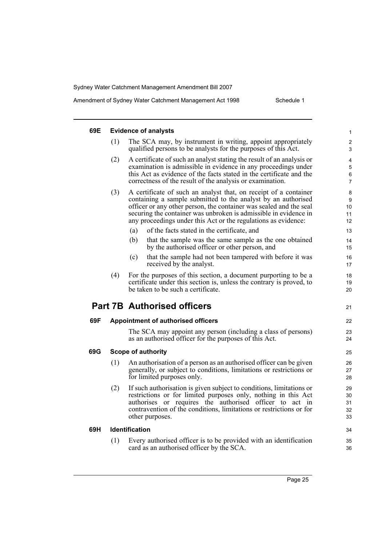Amendment of Sydney Water Catchment Management Act 1998 Schedule 1

| 69E |     | <b>Evidence of analysts</b>                                                                                                                                                                                                                                                                                                                   |                                                                                              |
|-----|-----|-----------------------------------------------------------------------------------------------------------------------------------------------------------------------------------------------------------------------------------------------------------------------------------------------------------------------------------------------|----------------------------------------------------------------------------------------------|
|     | (1) | The SCA may, by instrument in writing, appoint appropriately<br>qualified persons to be analysts for the purposes of this Act.                                                                                                                                                                                                                |                                                                                              |
|     | (2) | A certificate of such an analyst stating the result of an analysis or<br>examination is admissible in evidence in any proceedings under<br>this Act as evidence of the facts stated in the certificate and the<br>correctness of the result of the analysis or examination.                                                                   |                                                                                              |
|     | (3) | A certificate of such an analyst that, on receipt of a container<br>containing a sample submitted to the analyst by an authorised<br>officer or any other person, the container was sealed and the seal<br>securing the container was unbroken is admissible in evidence in<br>any proceedings under this Act or the regulations as evidence: |                                                                                              |
|     |     | (a)<br>of the facts stated in the certificate, and                                                                                                                                                                                                                                                                                            | 13                                                                                           |
|     |     | (b)<br>that the sample was the same sample as the one obtained<br>by the authorised officer or other person, and                                                                                                                                                                                                                              | 14<br>15                                                                                     |
|     |     | that the sample had not been tampered with before it was<br>(c)<br>received by the analyst.                                                                                                                                                                                                                                                   | 16<br>17                                                                                     |
|     | (4) | For the purposes of this section, a document purporting to be a<br>certificate under this section is, unless the contrary is proved, to                                                                                                                                                                                                       |                                                                                              |
|     |     | be taken to be such a certificate.                                                                                                                                                                                                                                                                                                            |                                                                                              |
|     |     | <b>Part 7B Authorised officers</b>                                                                                                                                                                                                                                                                                                            |                                                                                              |
| 69F |     | <b>Appointment of authorised officers</b>                                                                                                                                                                                                                                                                                                     |                                                                                              |
|     |     | The SCA may appoint any person (including a class of persons)<br>as an authorised officer for the purposes of this Act.                                                                                                                                                                                                                       |                                                                                              |
|     |     | <b>Scope of authority</b>                                                                                                                                                                                                                                                                                                                     |                                                                                              |
| 69G | (1) | An authorisation of a person as an authorised officer can be given<br>generally, or subject to conditions, limitations or restrictions or<br>for limited purposes only.                                                                                                                                                                       |                                                                                              |
|     | (2) | If such authorisation is given subject to conditions, limitations or<br>restrictions or for limited purposes only, nothing in this Act<br>authorises or requires the authorised officer to act in<br>contravention of the conditions, limitations or restrictions or for<br>other purposes.                                                   |                                                                                              |
| 69H |     | Identification                                                                                                                                                                                                                                                                                                                                | 19<br>20<br>21<br>22<br>23<br>24<br>25<br>26<br>27<br>28<br>29<br>30<br>31<br>32<br>33<br>34 |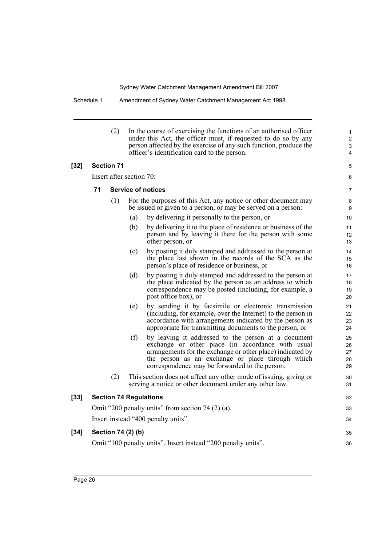Schedule 1 Amendment of Sydney Water Catchment Management Act 1998

|        |    | (2)               |                          | In the course of exercising the functions of an authorised officer<br>under this Act, the officer must, if requested to do so by any<br>person affected by the exercise of any such function, produce the<br>officer's identification card to the person.                    | 1<br>$\overline{2}$<br>3<br>4 |
|--------|----|-------------------|--------------------------|------------------------------------------------------------------------------------------------------------------------------------------------------------------------------------------------------------------------------------------------------------------------------|-------------------------------|
| $[32]$ |    | <b>Section 71</b> |                          |                                                                                                                                                                                                                                                                              | 5                             |
|        |    |                   | Insert after section 70: |                                                                                                                                                                                                                                                                              | 6                             |
|        | 71 |                   |                          | <b>Service of notices</b>                                                                                                                                                                                                                                                    | $\overline{7}$                |
|        |    | (1)               |                          | For the purposes of this Act, any notice or other document may<br>be issued or given to a person, or may be served on a person:                                                                                                                                              | 8<br>9                        |
|        |    |                   | (a)                      | by delivering it personally to the person, or                                                                                                                                                                                                                                | 10                            |
|        |    |                   | (b)                      | by delivering it to the place of residence or business of the<br>person and by leaving it there for the person with some<br>other person, or                                                                                                                                 | 11<br>12<br>13                |
|        |    |                   | (c)                      | by posting it duly stamped and addressed to the person at<br>the place last shown in the records of the SCA as the<br>person's place of residence or business, or                                                                                                            | 14<br>15<br>16                |
|        |    |                   | (d)                      | by posting it duly stamped and addressed to the person at<br>the place indicated by the person as an address to which<br>correspondence may be posted (including, for example, a<br>post office box), or                                                                     | 17<br>18<br>19<br>20          |
|        |    |                   | (e)                      | by sending it by facsimile or electronic transmission<br>(including, for example, over the Internet) to the person in<br>accordance with arrangements indicated by the person as<br>appropriate for transmitting documents to the person, or                                 | 21<br>22<br>23<br>24          |
|        |    |                   | (f)                      | by leaving it addressed to the person at a document<br>exchange or other place (in accordance with usual<br>arrangements for the exchange or other place) indicated by<br>the person as an exchange or place through which<br>correspondence may be forwarded to the person. | 25<br>26<br>27<br>28<br>29    |
|        |    | (2)               |                          | This section does not affect any other mode of issuing, giving or<br>serving a notice or other document under any other law.                                                                                                                                                 | 30<br>31                      |
| $[33]$ |    |                   |                          | <b>Section 74 Regulations</b>                                                                                                                                                                                                                                                | 32                            |
|        |    |                   |                          | Omit "200 penalty units" from section 74 $(2)$ (a).                                                                                                                                                                                                                          | 33                            |
|        |    |                   |                          | Insert instead "400 penalty units".                                                                                                                                                                                                                                          | 34                            |
| $[34]$ |    |                   | Section 74 (2) (b)       |                                                                                                                                                                                                                                                                              | 35                            |
|        |    |                   |                          | Omit "100 penalty units". Insert instead "200 penalty units".                                                                                                                                                                                                                | 36                            |
|        |    |                   |                          |                                                                                                                                                                                                                                                                              |                               |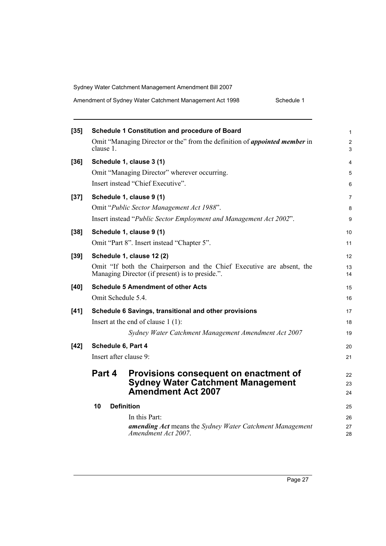|  | Amendment of Sydney Water Catchment Management Act 1998 | Schedule 1 |
|--|---------------------------------------------------------|------------|
|--|---------------------------------------------------------|------------|

| $[35]$ |                                                                                                                          | <b>Schedule 1 Constitution and procedure of Board</b>                                  | 1        |
|--------|--------------------------------------------------------------------------------------------------------------------------|----------------------------------------------------------------------------------------|----------|
|        | clause 1.                                                                                                                | Omit "Managing Director or the" from the definition of <i>appointed member</i> in      | 2<br>3   |
| $[36]$ |                                                                                                                          | Schedule 1, clause 3 (1)                                                               | 4        |
|        |                                                                                                                          | Omit "Managing Director" wherever occurring.                                           | 5        |
|        |                                                                                                                          | Insert instead "Chief Executive".                                                      | 6        |
| $[37]$ | Schedule 1, clause 9 (1)                                                                                                 |                                                                                        |          |
|        |                                                                                                                          | Omit "Public Sector Management Act 1988".                                              | 8        |
|        | Insert instead "Public Sector Employment and Management Act 2002".                                                       |                                                                                        |          |
| $[38]$ |                                                                                                                          | Schedule 1, clause 9 (1)                                                               | 10       |
|        |                                                                                                                          | Omit "Part 8". Insert instead "Chapter 5".                                             | 11       |
| $[39]$ |                                                                                                                          | Schedule 1, clause 12 (2)                                                              | 12       |
|        | Omit "If both the Chairperson and the Chief Executive are absent, the<br>Managing Director (if present) is to preside.". |                                                                                        |          |
| [40]   | <b>Schedule 5 Amendment of other Acts</b>                                                                                |                                                                                        |          |
|        | Omit Schedule 5.4.                                                                                                       |                                                                                        |          |
| $[41]$ | Schedule 6 Savings, transitional and other provisions                                                                    |                                                                                        | 17       |
|        | Insert at the end of clause $1(1)$ :                                                                                     |                                                                                        |          |
|        |                                                                                                                          | Sydney Water Catchment Management Amendment Act 2007                                   | 19       |
| $[42]$ | Schedule 6, Part 4                                                                                                       |                                                                                        | 20       |
|        | Insert after clause 9:                                                                                                   |                                                                                        |          |
|        | Part 4                                                                                                                   | Provisions consequent on enactment of                                                  | 22       |
|        |                                                                                                                          | <b>Sydney Water Catchment Management</b>                                               | 23       |
|        |                                                                                                                          | <b>Amendment Act 2007</b>                                                              | 24       |
|        | 10<br><b>Definition</b>                                                                                                  |                                                                                        |          |
|        |                                                                                                                          | In this Part:                                                                          | 26       |
|        |                                                                                                                          | <b>amending Act</b> means the Sydney Water Catchment Management<br>Amendment Act 2007. | 27<br>28 |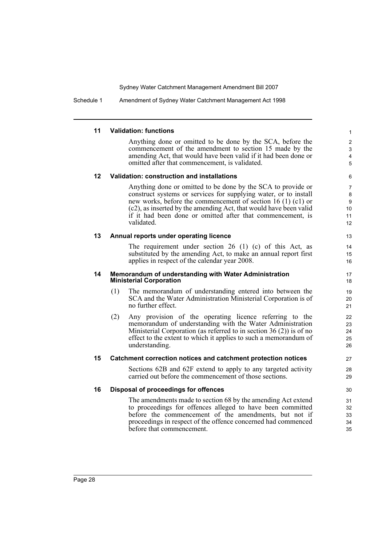Schedule 1 Amendment of Sydney Water Catchment Management Act 1998

### **11 Validation: functions**

Anything done or omitted to be done by the SCA, before the commencement of the amendment to section 15 made by the amending Act, that would have been valid if it had been done or omitted after that commencement, is validated.

### **12 Validation: construction and installations**

Anything done or omitted to be done by the SCA to provide or construct systems or services for supplying water, or to install new works, before the commencement of section 16 (1) (c1) or (c2), as inserted by the amending Act, that would have been valid if it had been done or omitted after that commencement, is validated.

### **13 Annual reports under operating licence**

The requirement under section 26 (1) (c) of this Act, as substituted by the amending Act, to make an annual report first applies in respect of the calendar year 2008.

#### **14 Memorandum of understanding with Water Administration Ministerial Corporation**

- (1) The memorandum of understanding entered into between the SCA and the Water Administration Ministerial Corporation is of no further effect.
- (2) Any provision of the operating licence referring to the memorandum of understanding with the Water Administration Ministerial Corporation (as referred to in section 36 (2)) is of no effect to the extent to which it applies to such a memorandum of understanding.

### **15 Catchment correction notices and catchment protection notices**

Sections 62B and 62F extend to apply to any targeted activity carried out before the commencement of those sections.

### **16 Disposal of proceedings for offences**

The amendments made to section 68 by the amending Act extend to proceedings for offences alleged to have been committed before the commencement of the amendments, but not if proceedings in respect of the offence concerned had commenced before that commencement.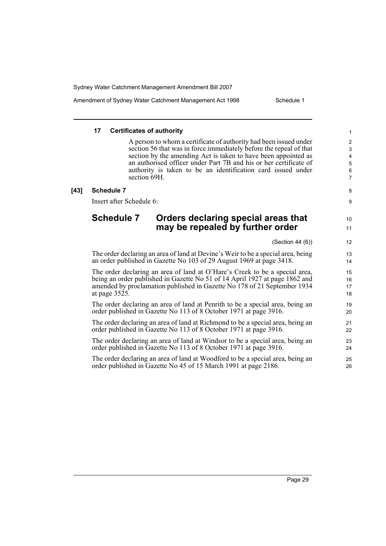Amendment of Sydney Water Catchment Management Act 1998 Schedule 1

8 9

 $10$ 11

### **17 Certificates of authority**

A person to whom a certificate of authority had been issued under section 56 that was in force immediately before the repeal of that section by the amending Act is taken to have been appointed as an authorised officer under Part 7B and his or her certificate of authority is taken to be an identification card issued under section 69H.

### **[43] Schedule 7**

Insert after Schedule 6:

# **Schedule 7 Orders declaring special areas that may be repealed by further order**

(Section 44 (6))

The order declaring an area of land at Devine's Weir to be a special area, being an order published in Gazette No 103 of 29 August 1969 at page 3418.

The order declaring an area of land at O'Hare's Creek to be a special area, being an order published in Gazette No 51 of 14 April 1927 at page 1862 and amended by proclamation published in Gazette No 178 of 21 September 1934 at page 3525.

The order declaring an area of land at Penrith to be a special area, being an order published in Gazette No 113 of 8 October 1971 at page 3916.

The order declaring an area of land at Richmond to be a special area, being an order published in Gazette No 113 of 8 October 1971 at page 3916.

The order declaring an area of land at Windsor to be a special area, being an order published in Gazette No 113 of 8 October 1971 at page 3916.

The order declaring an area of land at Woodford to be a special area, being an order published in Gazette No 45 of 15 March 1991 at page 2186.